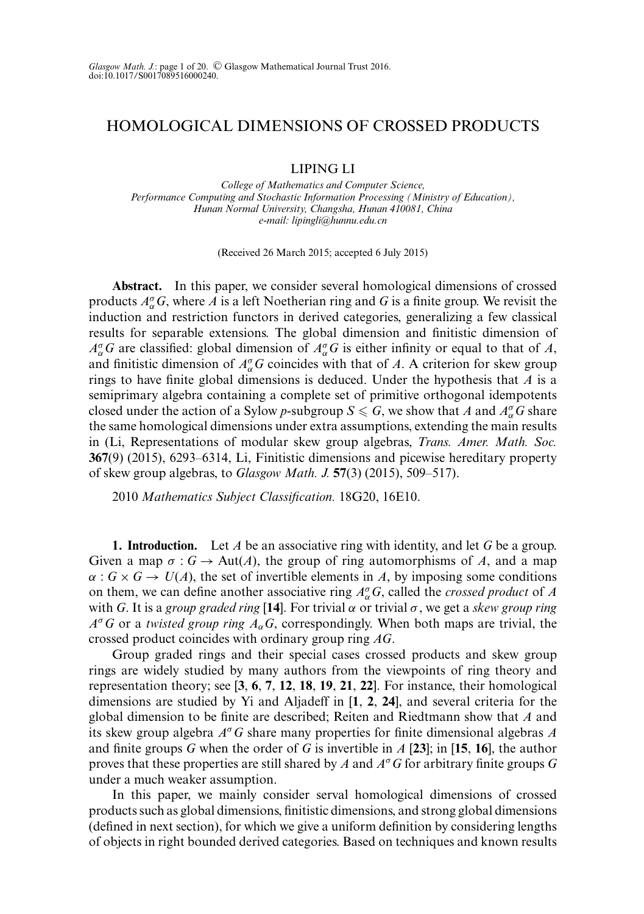# HOMOLOGICAL DIMENSIONS OF CROSSED PRODUCTS

## LIPING LI

*College of Mathematics and Computer Science, Performance Computing and Stochastic Information Processing (Ministry of Education), Hunan Normal University, Changsha, Hunan 410081, China e-mail: lipingli@hunnu.edu.cn*

(Received 26 March 2015; accepted 6 July 2015)

**Abstract.** In this paper, we consider several homological dimensions of crossed products  $A_{\alpha}^{\sigma}G$ , where A is a left Noetherian ring and G is a finite group. We revisit the induction and restriction functors in derived categories, generalizing a few classical results for separable extensions. The global dimension and finitistic dimension of  $A_{\alpha}^{\sigma}G$  are classified: global dimension of  $A_{\alpha}^{\sigma}G$  is either infinity or equal to that of *A*, and finitistic dimension of  $A_{\alpha}^{\sigma}G$  coincides with that of *A*. A criterion for skew group rings to have finite global dimensions is deduced. Under the hypothesis that *A* is a semiprimary algebra containing a complete set of primitive orthogonal idempotents closed under the action of a Sylow *p*-subgroup  $S \le G$ , we show that *A* and  $A^{\sigma}_{\alpha}G$  share the same homological dimensions under extra assumptions, extending the main results in (Li, Representations of modular skew group algebras, *Trans. Amer. Math. Soc.* **367**(9) (2015), 6293–6314, Li, Finitistic dimensions and picewise hereditary property of skew group algebras, to *Glasgow Math. J.* **57**(3) (2015), 509–517).

2010 *Mathematics Subject Classification.* 18G20, 16E10.

**1. Introduction.** Let *A* be an associative ring with identity, and let *G* be a group. Given a map  $\sigma : G \to \text{Aut}(A)$ , the group of ring automorphisms of A, and a map  $\alpha$ :  $G \times G \rightarrow U(A)$ , the set of invertible elements in *A*, by imposing some conditions on them, we can define another associative ring  $A_{\alpha}^{\sigma}G$ , called the *crossed product* of *A* with *G*. It is a *group graded ring* [**14**]. For trivial α or trivial σ, we get a *skew group ring*  $A^{\sigma}G$  or a *twisted group ring*  $A_{\alpha}G$ , correspondingly. When both maps are trivial, the crossed product coincides with ordinary group ring *AG*.

Group graded rings and their special cases crossed products and skew group rings are widely studied by many authors from the viewpoints of ring theory and representation theory; see [**3**, **6**, **7**, **12**, **18**, **19**, **21**, **22**]. For instance, their homological dimensions are studied by Yi and Aljadeff in [**1**, **2**, **24**], and several criteria for the global dimension to be finite are described; Reiten and Riedtmann show that *A* and its skew group algebra *A*<sup>σ</sup>*G* share many properties for finite dimensional algebras *A* and finite groups *G* when the order of *G* is invertible in *A* [**23**]; in [**15**, **16**], the author proves that these properties are still shared by *A* and *A*<sup>σ</sup>*G* for arbitrary finite groups *G* under a much weaker assumption.

In this paper, we mainly consider serval homological dimensions of crossed products such as global dimensions, finitistic dimensions, and strong global dimensions (defined in next section), for which we give a uniform definition by considering lengths of objects in right bounded derived categories. Based on techniques and known results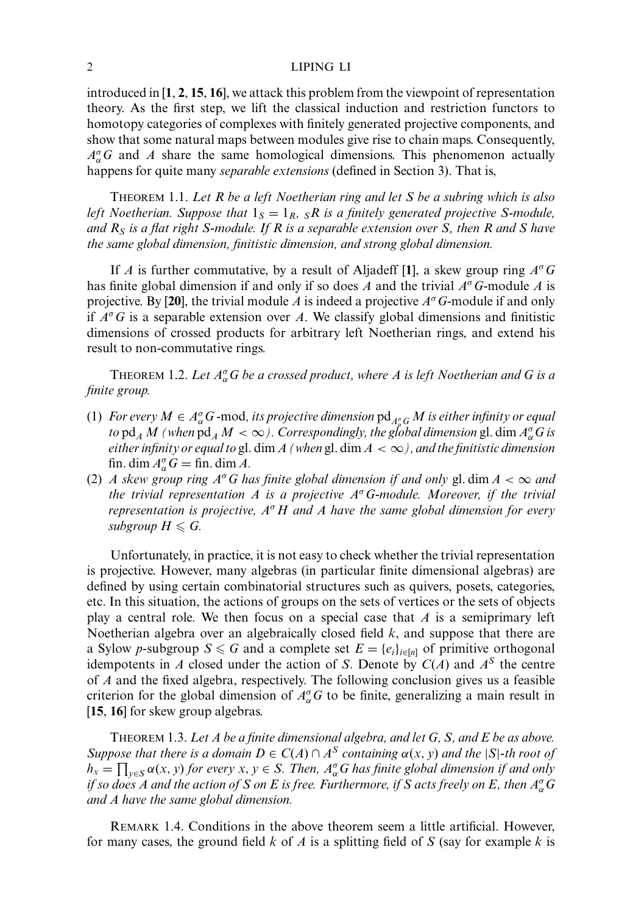introduced in [**1**, **2**, **15**, **16**], we attack this problem from the viewpoint of representation theory. As the first step, we lift the classical induction and restriction functors to homotopy categories of complexes with finitely generated projective components, and show that some natural maps between modules give rise to chain maps. Consequently,  $A_{\alpha}^{\sigma}G$  and *A* share the same homological dimensions. This phenomenon actually happens for quite many *separable extensions* (defined in Section 3). That is,

THEOREM 1.1. *Let R be a left Noetherian ring and let S be a subring which is also left Noetherian. Suppose that*  $1_S = 1_R$ ,  $S_R$  *is a finitely generated projective S-module, and RS is a flat right S-module. If R is a separable extension over S, then R and S have the same global dimension, finitistic dimension, and strong global dimension.*

If *A* is further commutative, by a result of Aljadeff [**1**], a skew group ring *A*<sup>σ</sup>*G* has finite global dimension if and only if so does *A* and the trivial *A*<sup>σ</sup>*G*-module *A* is projective. By [**20**], the trivial module *A* is indeed a projective *A*<sup>σ</sup>*G*-module if and only if  $A^{\sigma}G$  is a separable extension over *A*. We classify global dimensions and finitistic dimensions of crossed products for arbitrary left Noetherian rings, and extend his result to non-commutative rings.

THEOREM 1.2. *Let A*<sup>σ</sup> <sup>α</sup>*G be a crossed product, where A is left Noetherian and G is a finite group.*

- (1) *For every*  $M \in A_{\alpha}^{\sigma}G$  *-mod, its projective dimension*  $pd_{A_{\alpha}^{\sigma}G}M$  *is either infinity or equal to*  $\text{pd}_A M$  (when  $\text{pd}_A M < \infty$ ). Correspondingly, the global dimension gl. dim  $A_\alpha^\sigma G$  is *either infinity or equal to* gl. dim *A (when* gl. dim *A* < ∞*), and the finitistic dimension* fin. dim  $A_{\alpha}^{\sigma}G = \text{fin.} \dim A$ .
- (2) *A skew group ring*  $A^{\sigma}G$  *has finite global dimension if and only gl. dim*  $A < \infty$  *and the trivial representation A is a projective A*<sup>σ</sup>*G-module. Moreover, if the trivial representation is projective, A*<sup>σ</sup> *H and A have the same global dimension for every*  $subgroup H \leqslant G$ .

Unfortunately, in practice, it is not easy to check whether the trivial representation is projective. However, many algebras (in particular finite dimensional algebras) are defined by using certain combinatorial structures such as quivers, posets, categories, etc. In this situation, the actions of groups on the sets of vertices or the sets of objects play a central role. We then focus on a special case that *A* is a semiprimary left Noetherian algebra over an algebraically closed field *k*, and suppose that there are a Sylow *p*-subgroup  $S \le G$  and a complete set  $E = \{e_i\}_{i \in [n]}$  of primitive orthogonal idempotents in *A* closed under the action of *S*. Denote by  $C(A)$  and  $A<sup>S</sup>$  the centre of *A* and the fixed algebra, respectively. The following conclusion gives us a feasible criterion for the global dimension of  $A^{\sigma}_{\alpha}G$  to be finite, generalizing a main result in [**15**, **16**] for skew group algebras.

THEOREM 1.3. *Let A be a finite dimensional algebra, and let G, S, and E be as above. Suppose that there is a domain*  $D \in C(A) \cap A^S$  *containing*  $\alpha(x, y)$  *and the*  $|S|$ *-th root of*  $h_x = \prod_{y \in S} \alpha(x, y)$  *for every*  $x, y \in S$ . Then,  $A^{\sigma}_{\alpha}G$  has finite global dimension if and only if so does A and the action of S on E is free. Furthermore, if S acts freely on E, then  $A_\alpha^\sigma G$ *and A have the same global dimension.*

REMARK 1.4. Conditions in the above theorem seem a little artificial. However, for many cases, the ground field *k* of *A* is a splitting field of *S* (say for example *k* is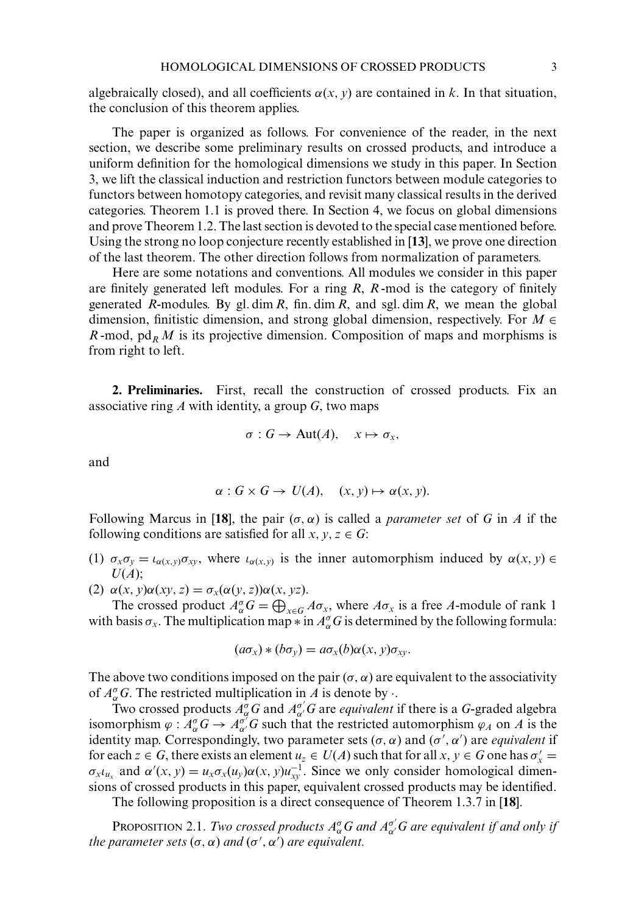algebraically closed), and all coefficients  $\alpha(x, y)$  are contained in *k*. In that situation, the conclusion of this theorem applies.

The paper is organized as follows. For convenience of the reader, in the next section, we describe some preliminary results on crossed products, and introduce a uniform definition for the homological dimensions we study in this paper. In Section 3, we lift the classical induction and restriction functors between module categories to functors between homotopy categories, and revisit many classical results in the derived categories. Theorem 1.1 is proved there. In Section 4, we focus on global dimensions and prove Theorem 1.2. The last section is devoted to the special case mentioned before. Using the strong no loop conjecture recently established in [**13**], we prove one direction of the last theorem. The other direction follows from normalization of parameters.

Here are some notations and conventions. All modules we consider in this paper are finitely generated left modules. For a ring *R*, *R* -mod is the category of finitely generated *R*-modules. By gl. dim *R*, fin. dim *R*, and sgl. dim *R*, we mean the global dimension, finitistic dimension, and strong global dimension, respectively. For  $M \in$ *R* -mod,  $pd_R M$  is its projective dimension. Composition of maps and morphisms is from right to left.

**2. Preliminaries.** First, recall the construction of crossed products. Fix an associative ring *A* with identity, a group *G*, two maps

$$
\sigma: G \to \text{Aut}(A), \quad x \mapsto \sigma_x,
$$

and

$$
\alpha: G \times G \to U(A), \quad (x, y) \mapsto \alpha(x, y).
$$

Following Marcus in [18], the pair  $(\sigma, \alpha)$  is called a *parameter set* of G in A if the following conditions are satisfied for all  $x, y, z \in G$ :

- (1)  $\sigma_x \sigma_y = \iota_{\alpha(x,y)} \sigma_{xy}$ , where  $\iota_{\alpha(x,y)}$  is the inner automorphism induced by  $\alpha(x, y) \in$ *U*(*A*);
- (2)  $\alpha(x, y)\alpha(xy, z) = \sigma_x(\alpha(y, z))\alpha(x, yz).$

The crossed product  $A_{\alpha}^{\sigma}G = \bigoplus_{x \in G} A \sigma_x$ , where  $A \sigma_x$  is a free *A*-module of rank 1 with basis  $\sigma_x$ . The multiplication map  $*$  in  $A_\alpha^\sigma G$  is determined by the following formula:

$$
(a\sigma_x)*(b\sigma_y)=a\sigma_x(b)\alpha(x,y)\sigma_{xy}.
$$

The above two conditions imposed on the pair  $(\sigma, \alpha)$  are equivalent to the associativity of  $A_{\alpha}^{\sigma}G$ . The restricted multiplication in *A* is denote by  $\cdot$ .

Two crossed products  $A^{\sigma}_{\alpha}G$  and  $A^{\sigma'}_{\alpha'}G$  are *equivalent* if there is a G-graded algebra isomorphism  $\varphi : A_{\alpha}^{\sigma} G \to A_{\alpha'}^{\sigma'} G$  such that the restricted automorphism  $\varphi_A$  on *A* is the identity map. Correspondingly, two parameter sets  $(\sigma, \alpha)$  and  $(\sigma', \alpha')$  are *equivalent* if for each  $z \in G$ , there exists an element  $u_z \in U(A)$  such that for all  $x, y \in G$  one has  $\sigma'_x =$  $\sigma_x \iota_{u_x}$  and  $\alpha'(x, y) = u_x \sigma_x(u_y) \alpha(x, y) u_{xy}^{-1}$ . Since we only consider homological dimensions of crossed products in this paper, equivalent crossed products may be identified.

The following proposition is a direct consequence of Theorem 1.3.7 in [**18**].

PROPOSITION 2.1. *Two crossed products*  $A^{\sigma}_{\alpha}G$  *and*  $A^{\sigma'}_{\alpha'}G$  *are equivalent if and only if the parameter sets*  $(\sigma, \alpha)$  *and*  $(\sigma', \alpha')$  *are equivalent.*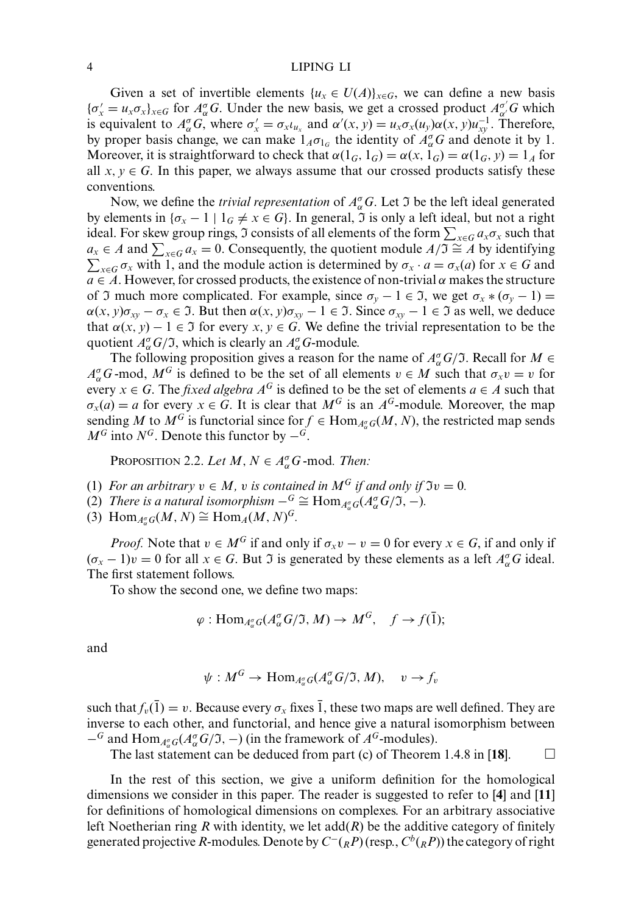Given a set of invertible elements  $\{u_x \in U(A)\}_{x \in G}$ , we can define a new basis  ${\{\sigma'_x = u_x \sigma_x\}}_{x \in G}$  for  $A^{\sigma}_\alpha G$ . Under the new basis, we get a crossed product  $A^{\sigma'}_{\alpha'} G$  which is equivalent to  $A^{\sigma}_{\alpha}G$ , where  $\sigma'_{x} = \sigma_{x} \iota_{u_{x}}$  and  $\alpha'(x, y) = u_{x}\sigma_{x}(u_{y})\alpha(x, y)u_{xy}^{-1}$ . Therefore, by proper basis change, we can make  $1_A \sigma_{1_G}$  the identity of  $A_{\alpha}^{\sigma}G$  and denote it by 1. Moreover, it is straightforward to check that  $\alpha(1_G, 1_G) = \alpha(x, 1_G) = \alpha(1_G, y) = 1_A$  for all  $x, y \in G$ . In this paper, we always assume that our crossed products satisfy these conventions.

Now, we define the *trivial representation* of  $A_{\alpha}^{\sigma}G$ . Let  $\mathfrak{I}$  be the left ideal generated by elements in  $\{\sigma_x - 1 \mid 1_G \neq x \in G\}$ . In general,  $\Im$  is only a left ideal, but not a right ideal. For skew group rings,  $\mathfrak I$  consists of all elements of the form  $\sum_{x\in G}a_x\sigma_x$  such that *a<sub>x</sub>* ∈ *A* and  $\sum_{x \in G} a_x = 0$ . Consequently, the quotient module  $A/\mathfrak{I} \cong A$  by identifying  $\sum_{x \in G} \sigma_x$  with 1, and the module action is determined by  $\sigma_x \cdot a = \sigma_x(a)$  for  $x \in G$  and  $a \in A$ . However, for crossed products, the existence of non-trivial  $\alpha$  makes the structure of I much more complicated. For example, since  $\sigma_y - 1 \in \mathcal{I}$ , we get  $\sigma_x * (\sigma_y - 1) =$  $\alpha(x, y)\sigma_{xy} - \sigma_x \in \mathcal{I}$ . But then  $\alpha(x, y)\sigma_{xy} - 1 \in \mathcal{I}$ . Since  $\sigma_{xy} - 1 \in \mathcal{I}$  as well, we deduce that  $\alpha(x, y) - 1 \in \mathcal{I}$  for every  $x, y \in G$ . We define the trivial representation to be the quotient  $A^{\sigma}_{\alpha}G/\mathfrak{I}$ , which is clearly an  $A^{\sigma}_{\alpha}G$ -module.

The following proposition gives a reason for the name of  $A_{\alpha}^{\sigma}G/\mathfrak{I}$ . Recall for  $M \in$  $A_{\alpha}^{\sigma}$ *G*-mod,  $M^G$  is defined to be the set of all elements  $v \in M$  such that  $\sigma_x v = v$  for every *x*  $\in$  *G*. The *fixed algebra A<sup>G</sup> is defined to be the set of elements <i>a*  $\in$  *A* such that  $\sigma_x(a) = a$  for every  $x \in G$ . It is clear that  $M^G$  is an  $A^G$ -module. Moreover, the map sending *M* to  $M^G$  is functorial since for  $f \in Hom_{A^{\sigma}_\alpha G}(M, N)$ , the restricted map sends  $M^G$  into  $N^G$ . Denote this functor by  $-\tilde{G}$ .

PROPOSITION 2.2. *Let*  $M, N \in A_{\alpha}^{\sigma}G$  -mod. *Then:* 

- (1) *For an arbitrary*  $v \in M$ , *v is contained in*  $M^G$  *if and only if*  $\mathfrak{I}v = 0$ *.*
- (2) *There is a natural isomorphism*  $-\frac{G}{G} \cong \text{Hom}_{A^{\sigma}_{\alpha}G}(A^{\sigma}_{\alpha}G/\mathfrak{I}, -)$ *.*
- $(3)$  Hom<sub>*A<sup><i>g*</sup></sub>  $G(M, N) \cong \text{Hom}_{A}(M, N)^{G}$ .</sub>

*Proof.* Note that  $v \in M^G$  if and only if  $\sigma_x v - v = 0$  for every  $x \in G$ , if and only if  $(\sigma_x - 1)v = 0$  for all  $x \in G$ . But  $\Im$  is generated by these elements as a left  $A^{\sigma}_{\alpha}G$  ideal. The first statement follows.

To show the second one, we define two maps:

$$
\varphi: \text{Hom}_{A^{\sigma}_{\alpha}G}(A^{\sigma}_{\alpha}G/\mathfrak{I}, M) \to M^G, \quad f \to f(\bar{1});
$$

and

$$
\psi: M^G \to \text{Hom}_{A^{\sigma}_\alpha G}(A^{\sigma}_\alpha G/\mathfrak{I}, M), \quad v \to f_v
$$

such that  $f_\nu(\bar{1}) = \nu$ . Because every  $\sigma_x$  fixes  $\bar{1}$ , these two maps are well defined. They are inverse to each other, and functorial, and hence give a natural isomorphism between  $-$ <sup>*G*</sup> and Hom<sub>*A*σ</sub></sub><sub>*G*(*A*<sub>α</sub><sup>*G*</sup>(*J*), −) (in the framework of *A<sup>G</sup>*-modules).</sub>

The last statement can be deduced from part (c) of Theorem 1.4.8 in [18].  $\Box$ 

In the rest of this section, we give a uniform definition for the homological dimensions we consider in this paper. The reader is suggested to refer to [**4**] and [**11**] for definitions of homological dimensions on complexes. For an arbitrary associative left Noetherian ring *R* with identity, we let  $add(R)$  be the additive category of finitely generated projective *R*-modules. Denote by  $C^-(R^P)$  (resp.,  $C^b(R^P)$ ) the category of right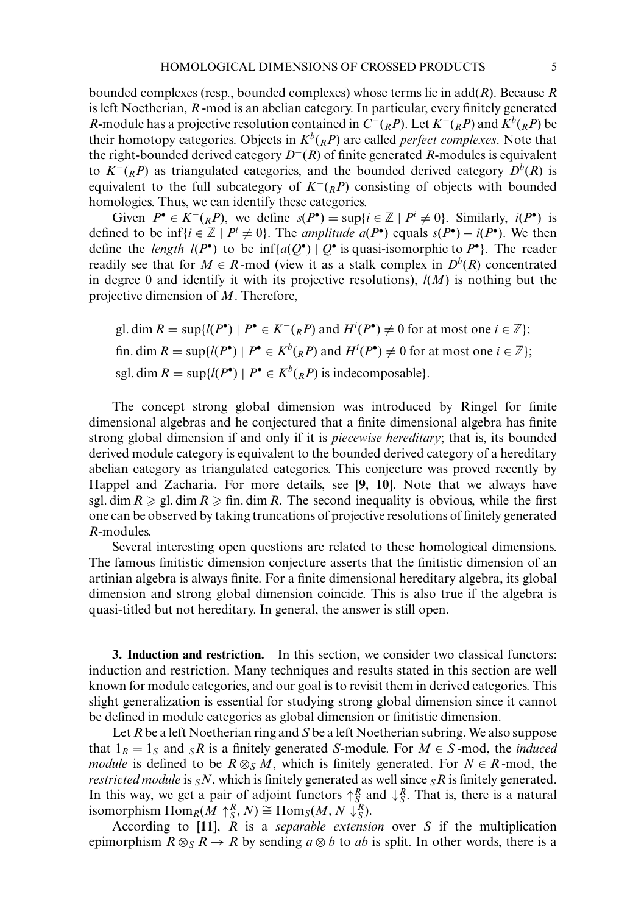bounded complexes (resp., bounded complexes) whose terms lie in add(*R*). Because *R* is left Noetherian, *R* -mod is an abelian category. In particular, every finitely generated *R*-module has a projective resolution contained in  $C^-(R)$ . Let  $K^-(R)$  and  $K^b(R)$  be their homotopy categories. Objects in  $K^b({}_RP)$  are called *perfect complexes*. Note that the right-bounded derived category *D*<sup>−</sup>(*R*) of finite generated *R*-modules is equivalent to  $K^{-}(R)$  as triangulated categories, and the bounded derived category  $D^{b}(R)$  is equivalent to the full subcategory of  $K^{-}(R)$  consisting of objects with bounded homologies. Thus, we can identify these categories.

Given  $P^{\bullet} \in K^{-}(R)$ , we define  $s(P^{\bullet}) = \sup\{i \in \mathbb{Z} \mid P^{i} \neq 0\}$ . Similarly,  $i(P^{\bullet})$  is defined to be  $\inf\{i \in \mathbb{Z} \mid P^i \neq 0\}$ . The *amplitude a*( $P^{\bullet}$ ) equals  $s(P^{\bullet}) - i(P^{\bullet})$ . We then define the *length*  $l(P^{\bullet})$  to be  $\inf \{a(Q^{\bullet}) \mid Q^{\bullet} \text{ is quasi-isomorphic to } P^{\bullet} \}.$  The reader readily see that for  $M \in R$ -mod (view it as a stalk complex in  $D^b(R)$  concentrated in degree 0 and identify it with its projective resolutions), *l*(*M*) is nothing but the projective dimension of *M*. Therefore,

gl. dim  $R = \sup\{l(P^{\bullet}) \mid P^{\bullet} \in K^{-}({}_{R}P) \text{ and } H^{i}(P^{\bullet}) \neq 0 \text{ for at most one } i \in \mathbb{Z}\};$ fin. dim  $R = \sup \{ l(P^{\bullet}) \mid P^{\bullet} \in K^b({}_RP) \text{ and } H^i(P^{\bullet}) \neq 0 \text{ for at most one } i \in \mathbb{Z} \};$ sgl. dim  $R = \sup\{l(P^{\bullet}) \mid P^{\bullet} \in K^b({}_RP)\}\$  is indecomposable}.

The concept strong global dimension was introduced by Ringel for finite dimensional algebras and he conjectured that a finite dimensional algebra has finite strong global dimension if and only if it is *piecewise hereditary*; that is, its bounded derived module category is equivalent to the bounded derived category of a hereditary abelian category as triangulated categories. This conjecture was proved recently by Happel and Zacharia. For more details, see [**9**, **10**]. Note that we always have sgl. dim  $R \ge g$ l. dim  $R \ge f$  fin. dim  $R$ . The second inequality is obvious, while the first one can be observed by taking truncations of projective resolutions of finitely generated *R*-modules.

Several interesting open questions are related to these homological dimensions. The famous finitistic dimension conjecture asserts that the finitistic dimension of an artinian algebra is always finite. For a finite dimensional hereditary algebra, its global dimension and strong global dimension coincide. This is also true if the algebra is quasi-titled but not hereditary. In general, the answer is still open.

**3. Induction and restriction.** In this section, we consider two classical functors: induction and restriction. Many techniques and results stated in this section are well known for module categories, and our goal is to revisit them in derived categories. This slight generalization is essential for studying strong global dimension since it cannot be defined in module categories as global dimension or finitistic dimension.

Let *R* be a left Noetherian ring and *S* be a left Noetherian subring. We also suppose that  $1_R = 1_S$  and  $sR$  is a finitely generated *S*-module. For  $M \in S$ -mod, the *induced module* is defined to be  $R \otimes_S M$ , which is finitely generated. For  $N \in R$ -mod, the *restricted module* is  $sN$ , which is finitely generated as well since  $sR$  is finitely generated. In this way, we get a pair of adjoint functors  $\uparrow_{S_\text{S}}^R$  and  $\downarrow_{S_\text{S}}^R$ . That is, there is a natural isomorphism  $\text{Hom}_R(\hat{M} \uparrow_S^R, N) \cong \text{Hom}_S(M, N \downarrow_S^R).$ 

According to [**11**], *R* is a *separable extension* over *S* if the multiplication epimorphism  $R \otimes_{S} R \rightarrow R$  by sending  $a \otimes b$  to *ab* is split. In other words, there is a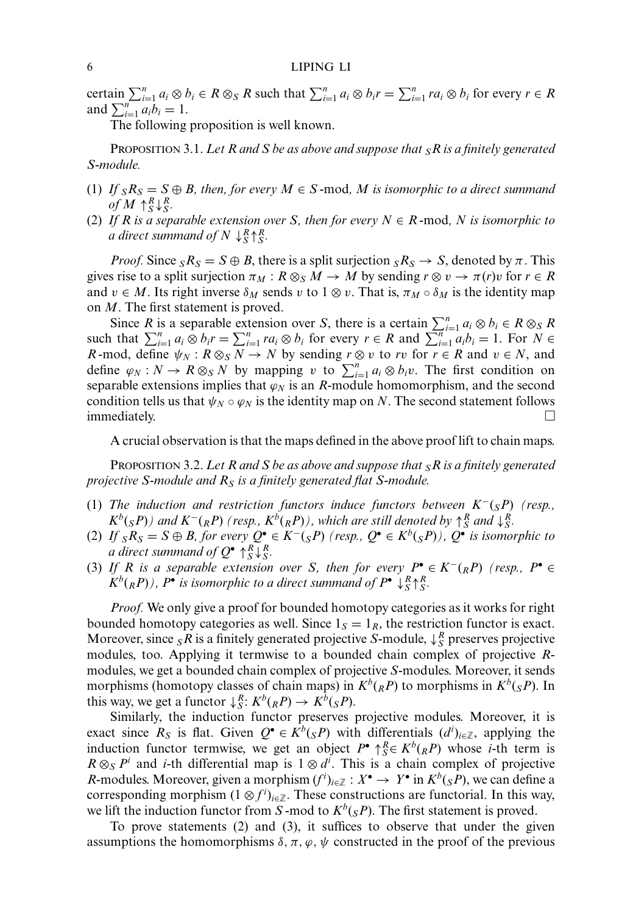certain  $\sum_{i=1}^{n} a_i \otimes b_i \in R \otimes_S R$  such that  $\sum_{i=1}^{n} a_i \otimes b_i r = \sum_{i=1}^{n} ra_i \otimes b_i$  for every  $r \in R$ and  $\sum_{i=1}^{n} a_i b_i = 1$ .

The following proposition is well known.

PROPOSITION 3.1. *Let R and S be as above and suppose that SR is a finitely generated S-module.*

- (1) *If*  $sR_S = S \oplus B$ , then, for every  $M \in S$ -mod, M is isomorphic to a direct summand  $of M \uparrow_S^R \downarrow_S^R$ .
- (2) If R is a separable extension over S, then for every  $N \in R$ -mod, N is isomorphic to *a direct summand of*  $N \downarrow_S^R \uparrow_S^R$ .

*Proof.* Since  $S_{S}$  =  $S \oplus B$ , there is a split surjection  $S_{S}$  →  $S$ , denoted by  $\pi$ . This gives rise to a split surjection  $\pi_M : R \otimes_S M \to M$  by sending  $r \otimes v \to \pi(r)v$  for  $r \in R$ and  $v \in M$ . Its right inverse  $\delta_M$  sends v to  $1 \otimes v$ . That is,  $\pi_M \circ \delta_M$  is the identity map on *M*. The first statement is proved.

Since *R* is a separable extension over *S*, there is a certain  $\sum_{i=1}^{n} a_i \otimes b_i \in R \otimes_S R$ such that  $\sum_{i=1}^{n} a_i \otimes b_i r = \sum_{i=1}^{n} r a_i \otimes b_i$  for every  $r \in R$  and  $\sum_{i=1}^{n} a_i b_i = 1$ . For  $N \in R$ *R* -mod, define  $\psi_N$ :  $R \otimes_S \overline{N} \to N$  by sending  $r \otimes v$  to *rv* for  $r \in R$  and  $v \in N$ , and define  $\varphi_N : N \to R \otimes_S N$  by mapping v to  $\sum_{i=1}^n a_i \otimes b_i v$ . The first condition on separable extensions implies that  $\varphi_N$  is an *R*-module homomorphism, and the second condition tells us that  $\psi_N \circ \varphi_N$  is the identity map on *N*. The second statement follows immediately.

A crucial observation is that the maps defined in the above proof lift to chain maps.

PROPOSITION 3.2. *Let R and S be as above and suppose that SR is a finitely generated projective S-module and RS is a finitely generated flat S-module.*

- (1) *The induction and restriction functors induce functors between K*<sup>−</sup>(*SP*) *(resp.,*  $K^b$ ( $sP$ )) and  $K^-(R)$  (resp.,  $K^b$ ( $R$ *P*)), which are still denoted by  $\uparrow_S^R$  and  $\downarrow_S^R$ .
- (2) *If*  $sR_S = S ⊕ B$ , for every  $Q^{\bullet} ∈ K^{-}(sP)$  (resp.,  $Q^{\bullet} ∈ K^{b}(sP)$ ),  $Q^{\bullet}$  *is isomorphic to a* direct summand of  $Q^{\bullet} \uparrow_S^R \downarrow_S^R$ .
- (3) *If* R is a separable extension over S, then for every  $P^{\bullet} \in K^{-1}(R)$  (resp.,  $P^{\bullet} \in$  $K^b({}_RP)$ ),  $P^{\bullet}$  *is isomorphic to a direct summand of*  $P^{\bullet} \downarrow_S^R \uparrow_S^R$ .

*Proof.* We only give a proof for bounded homotopy categories as it works for right bounded homotopy categories as well. Since  $1<sub>S</sub> = 1<sub>R</sub>$ , the restriction functor is exact. Moreover, since  $_S R$  is a finitely generated projective *S*-module,  $\downarrow_S^R$  preserves projective modules, too. Applying it termwise to a bounded chain complex of projective *R*modules, we get a bounded chain complex of projective *S*-modules. Moreover, it sends morphisms (homotopy classes of chain maps) in  $K^b({}_RP)$  to morphisms in  $K^b({}_SP)$ . In this way, we get a functor  $\downarrow_S^R$ :  $K^b(_RP) \rightarrow K^b(_SP)$ .

Similarly, the induction functor preserves projective modules. Moreover, it is exact since  $R_S$  is flat. Given  $Q^{\bullet} \in K^b({}_S P)$  with differentials  $(d^i)_{i \in \mathbb{Z}}$ , applying the induction functor termwise, we get an object  $P^{\bullet} \uparrow_{S}^{R} \in K^{b}({}_{R}P)$  whose *i*-th term is  $R \otimes_S P^i$  and *i*-th differential map is  $1 \otimes d^i$ . This is a chain complex of projective *R*-modules. Moreover, given a morphism  $(f^i)_{i \in \mathbb{Z}} : X^{\bullet} \to Y^{\bullet}$  in  $K^b({}_S P)$ , we can define a corresponding morphism  $(1 \otimes f^i)_{i \in \mathbb{Z}}$ . These constructions are functorial. In this way, we lift the induction functor from *S*-mod to  $K^b({}_S P)$ . The first statement is proved.

To prove statements (2) and (3), it suffices to observe that under the given assumptions the homomorphisms  $\delta, \pi, \varphi, \psi$  constructed in the proof of the previous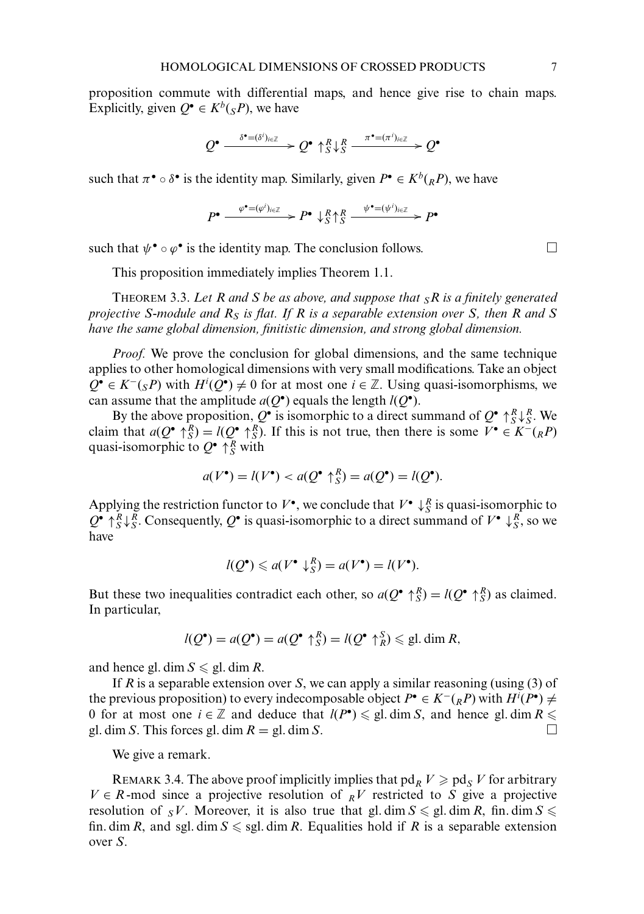proposition commute with differential maps, and hence give rise to chain maps. Explicitly, given  $Q^{\bullet} \in K^b({}_{S}P)$ , we have

$$
Q^{\bullet} \xrightarrow{\delta^{\bullet}=(\delta^i)_{i\in\mathbb{Z}}} Q^{\bullet} \uparrow_S^R \downarrow_S^R \xrightarrow{\pi^{\bullet}=(\pi^i)_{i\in\mathbb{Z}}} Q^{\bullet}
$$

such that  $\pi^{\bullet} \circ \delta^{\bullet}$  is the identity map. Similarly, given  $P^{\bullet} \in K^b({}_RP)$ , we have

$$
P^{\bullet} \xrightarrow{\varphi^{\bullet} = (\varphi^i)_{i \in \mathbb{Z}}} P^{\bullet} \downarrow_{S}^{R} \uparrow_{S}^{R} \xrightarrow{\psi^{\bullet} = (\psi^i)_{i \in \mathbb{Z}}} P^{\bullet}
$$

such that  $\psi^{\bullet} \circ \varphi^{\bullet}$  is the identity map. The conclusion follows.

This proposition immediately implies Theorem 1.1.

THEOREM 3.3. *Let R and S be as above, and suppose that SR is a finitely generated projective S-module and RS is flat. If R is a separable extension over S, then R and S have the same global dimension, finitistic dimension, and strong global dimension.*

*Proof.* We prove the conclusion for global dimensions, and the same technique applies to other homological dimensions with very small modifications. Take an object  $Q^{\bullet} \in K^{-}(sP)$  with  $H^{i}(Q^{\bullet}) \neq 0$  for at most one  $i \in \mathbb{Z}$ . Using quasi-isomorphisms, we can assume that the amplitude  $a(Q^{\bullet})$  equals the length  $l(Q^{\bullet})$ .

By the above proposition,  $Q^{\bullet}$  is isomorphic to a direct summand of  $Q^{\bullet} \uparrow_S^R \downarrow_S^R$ . We claim that  $a(Q^{\bullet} \uparrow_S^R) = l(Q^{\bullet} \uparrow_S^R)$ . If this is not true, then there is some  $V^{\bullet} \in K^-(R)$ quasi-isomorphic to  $Q^{\bullet} \uparrow_{S}^{R}$  with

$$
a(V^{\bullet}) = l(V^{\bullet}) < a(Q^{\bullet} \uparrow_{S}^{R}) = a(Q^{\bullet}) = l(Q^{\bullet}).
$$

Applying the restriction functor to  $V^{\bullet}$ , we conclude that  $V^{\bullet} \downarrow_{S}^{R}$  is quasi-isomorphic to  $Q^{\bullet} \uparrow_S^R \downarrow_S^R$ . Consequently,  $Q^{\bullet}$  is quasi-isomorphic to a direct summand of  $V^{\bullet} \downarrow_S^R$ , so we have

$$
l(Q^{\bullet}) \leq a(V^{\bullet} \downarrow_{S}^{R}) = a(V^{\bullet}) = l(V^{\bullet}).
$$

But these two inequalities contradict each other, so  $a(Q^{\bullet} \uparrow_S^R) = l(Q^{\bullet} \uparrow_S^R)$  as claimed. In particular,

$$
l(Q^{\bullet}) = a(Q^{\bullet}) = a(Q^{\bullet} \uparrow_{S}^{R}) = l(Q^{\bullet} \uparrow_{R}^{S}) \leqslant \text{gl. dim } R,
$$

and hence gl. dim  $S \leqslant$  gl. dim *R*.

If *R* is a separable extension over *S*, we can apply a similar reasoning (using (3) of the previous proposition) to every indecomposable object  $P^{\bullet} \in K^{-}(R)$  with  $H^{i}(P^{\bullet}) \neq$ 0 for at most one  $i \in \mathbb{Z}$  and deduce that  $l(P^{\bullet}) \leq g$ . dim *S*, and hence gl. dim  $R \leq$ gl. dim *S*. This forces gl. dim  $R = \emptyset$ . dim *S*.

We give a remark.

REMARK 3.4. The above proof implicitly implies that  $pd_R V \geqslant pd_S V$  for arbitrary  $V \in R$ -mod since a projective resolution of  $\overline{R}V$  restricted to *S* give a projective resolution of  $sV$ . Moreover, it is also true that gl. dim  $S \le g$ l. dim *R*, fin. dim  $S \le$ fin. dim *R*, and sgl. dim  $S \leq$  sgl. dim *R*. Equalities hold if *R* is a separable extension over *S*.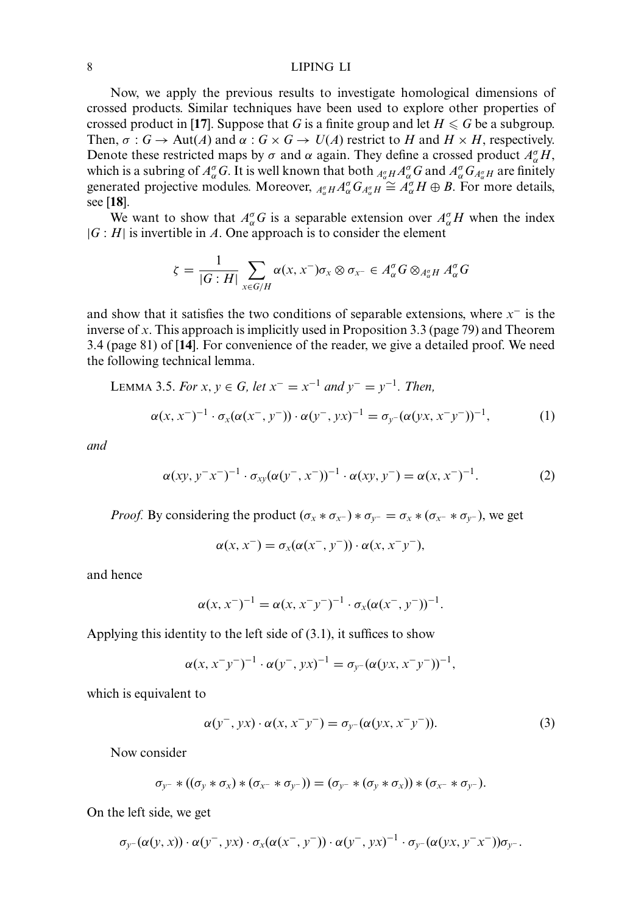Now, we apply the previous results to investigate homological dimensions of crossed products. Similar techniques have been used to explore other properties of crossed product in [**17**]. Suppose that  $G$  is a finite group and let  $H \leqslant G$  be a subgroup. Then,  $\sigma : G \to \text{Aut}(A)$  and  $\alpha : G \times G \to U(A)$  restrict to *H* and  $H \times H$ , respectively. Denote these restricted maps by  $\sigma$  and  $\alpha$  again. They define a crossed product  $A_{\alpha}^{\sigma}H$ , which is a subring of  $A^{\sigma}_{\alpha}G$ . It is well known that both  ${}_{A^{\sigma}_{\alpha}H}A^{\sigma}_{\alpha}G$  and  $A^{\sigma}_{\alpha}G_{A^{\sigma}_{\alpha}H}$  are finitely generated projective modules. Moreover,  $A_{\alpha}^{\sigma} H A_{\alpha}^{\sigma} G_{A_{\alpha}^{\sigma}} H \cong A_{\alpha}^{\sigma} H \oplus B$ . For more details, see [**18**].

We want to show that  $A_{\alpha}^{\sigma}G$  is a separable extension over  $A_{\alpha}^{\sigma}H$  when the index  $|G : H|$  is invertible in *A*. One approach is to consider the element

$$
\zeta = \frac{1}{|G:H|} \sum_{x \in G/H} \alpha(x, x^{-}) \sigma_{x} \otimes \sigma_{x^{-}} \in A_{\alpha}^{\sigma} G \otimes_{A_{\alpha}^{\sigma} H} A_{\alpha}^{\sigma} G
$$

and show that it satisfies the two conditions of separable extensions, where *x*<sup>−</sup> is the inverse of *x*. This approach is implicitly used in Proposition 3.3 (page 79) and Theorem 3.4 (page 81) of [**14**]. For convenience of the reader, we give a detailed proof. We need the following technical lemma.

LEMMA 3.5. For 
$$
x, y \in G
$$
, let  $x^{-} = x^{-1}$  and  $y^{-} = y^{-1}$ . Then,  
\n
$$
\alpha(x, x^{-})^{-1} \cdot \sigma_{x}(\alpha(x^{-}, y^{-})) \cdot \alpha(y^{-}, yx)^{-1} = \sigma_{y^{-}}(\alpha(yx, x^{-}y^{-}))^{-1},
$$
\n(1)

*and*

$$
\alpha(xy, y^{-}x^{-})^{-1} \cdot \sigma_{xy}(\alpha(y^{-}, x^{-}))^{-1} \cdot \alpha(xy, y^{-}) = \alpha(x, x^{-})^{-1}.
$$
 (2)

*Proof.* By considering the product  $(\sigma_x * \sigma_{x^-}) * \sigma_{y^-} = \sigma_x * (\sigma_{x^-} * \sigma_{y^-})$ , we get

$$
\alpha(x, x^-) = \sigma_x(\alpha(x^-, y^-)) \cdot \alpha(x, x^- y^-),
$$

and hence

$$
\alpha(x, x^{-})^{-1} = \alpha(x, x^{-}y^{-})^{-1} \cdot \sigma_{x}(\alpha(x^{-}, y^{-}))^{-1}.
$$

Applying this identity to the left side of (3.1), it suffices to show

$$
\alpha(x, x^{-}y^{-})^{-1} \cdot \alpha(y^{-}, yx)^{-1} = \sigma_{y^{-}}(\alpha(yx, x^{-}y^{-}))^{-1},
$$

which is equivalent to

$$
\alpha(y^-, yx) \cdot \alpha(x, x^-y^-) = \sigma_{y^-}(\alpha(yx, x^-y^-)). \tag{3}
$$

Now consider

$$
\sigma_{y^-} * ((\sigma_y * \sigma_x) * (\sigma_{x^-} * \sigma_{y^-})) = (\sigma_{y^-} * (\sigma_y * \sigma_x)) * (\sigma_{x^-} * \sigma_{y^-}).
$$

On the left side, we get

$$
\sigma_{y^-}(\alpha(y,x)) \cdot \alpha(y^-,yx) \cdot \sigma_x(\alpha(x^-,y^-)) \cdot \alpha(y^-,yx)^{-1} \cdot \sigma_{y^-}(\alpha(yx,y^-x^-)) \sigma_{y^-}.
$$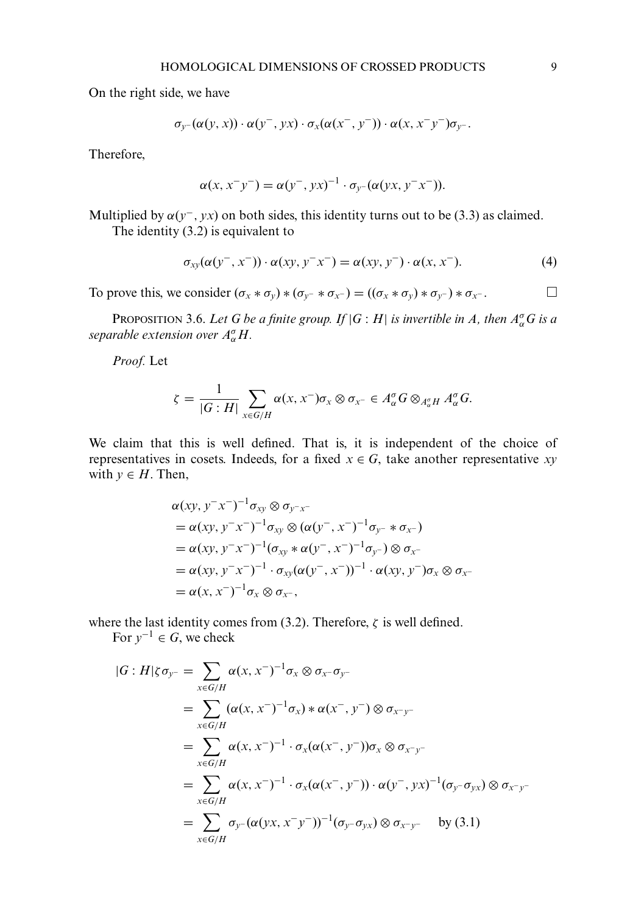On the right side, we have

$$
\sigma_{y^-}(\alpha(y,x)) \cdot \alpha(y^-,yx) \cdot \sigma_x(\alpha(x^-,y^-)) \cdot \alpha(x,x^-y^-) \sigma_{y^-}.
$$

Therefore,

$$
\alpha(x, x^{-}y^{-}) = \alpha(y^{-}, yx)^{-1} \cdot \sigma_{y^{-}}(\alpha(yx, y^{-}x^{-})).
$$

Multiplied by  $\alpha(y^-, yx)$  on both sides, this identity turns out to be (3.3) as claimed. The identity (3.2) is equivalent to

$$
\sigma_{xy}(\alpha(y^-, x^-)) \cdot \alpha(xy, y^- x^-) = \alpha(xy, y^-) \cdot \alpha(x, x^-). \tag{4}
$$

To prove this, we consider  $(\sigma_x * \sigma_y) * (\sigma_y - * \sigma_x -) = ((\sigma_x * \sigma_y) * \sigma_y -) * \sigma_x -$ .

**P**ROPOSITION 3.6. Let G be a finite group. If  $|G:H|$  is invertible in A, then  $A^{\sigma}_{\alpha}G$  is a *separable extension over A*<sup>σ</sup> <sup>α</sup>*H.*

*Proof.* Let

$$
\zeta = \frac{1}{|G:H|} \sum_{x \in G/H} \alpha(x, x^{-}) \sigma_{x} \otimes \sigma_{x^{-}} \in A_{\alpha}^{\sigma} G \otimes_{A_{\alpha}^{\sigma} H} A_{\alpha}^{\sigma} G.
$$

We claim that this is well defined. That is, it is independent of the choice of representatives in cosets. Indeeds, for a fixed  $x \in G$ , take another representative *xy* with  $y \in H$ . Then,

$$
\alpha(xy, y^{-}x^{-})^{-1}\sigma_{xy}\otimes \sigma_{y^{-}x^{-}}
$$
\n
$$
= \alpha(xy, y^{-}x^{-})^{-1}\sigma_{xy}\otimes (\alpha(y^{-}, x^{-})^{-1}\sigma_{y^{-}} * \sigma_{x^{-}})
$$
\n
$$
= \alpha(xy, y^{-}x^{-})^{-1}(\sigma_{xy} * \alpha(y^{-}, x^{-})^{-1}\sigma_{y^{-}})\otimes \sigma_{x^{-}}
$$
\n
$$
= \alpha(xy, y^{-}x^{-})^{-1} \cdot \sigma_{xy}(\alpha(y^{-}, x^{-}))^{-1} \cdot \alpha(xy, y^{-})\sigma_{x}\otimes \sigma_{x^{-}}
$$
\n
$$
= \alpha(x, x^{-})^{-1}\sigma_{x}\otimes \sigma_{x^{-}},
$$

where the last identity comes from (3.2). Therefore,  $\zeta$  is well defined.

For  $y^{-1} \in G$ , we check

$$
|G:H|\zeta\sigma_{y^-} = \sum_{x\in G/H} \alpha(x, x^-)^{-1}\sigma_x \otimes \sigma_x - \sigma_{y^-}
$$
  
\n
$$
= \sum_{x\in G/H} (\alpha(x, x^-)^{-1}\sigma_x) * \alpha(x^-, y^-) \otimes \sigma_{x^-y^-}
$$
  
\n
$$
= \sum_{x\in G/H} \alpha(x, x^-)^{-1} \cdot \sigma_x(\alpha(x^-, y^-))\sigma_x \otimes \sigma_{x^-y^-}
$$
  
\n
$$
= \sum_{x\in G/H} \alpha(x, x^-)^{-1} \cdot \sigma_x(\alpha(x^-, y^-)) \cdot \alpha(y^-, yx)^{-1}(\sigma_{y^-}\sigma_{yx}) \otimes \sigma_{x^-y^-}
$$
  
\n
$$
= \sum_{x\in G/H} \sigma_{y^-}(\alpha(yx, x^-y^-))^{-1}(\sigma_{y^-}\sigma_{yx}) \otimes \sigma_{x^-y^-} \quad \text{by (3.1)}
$$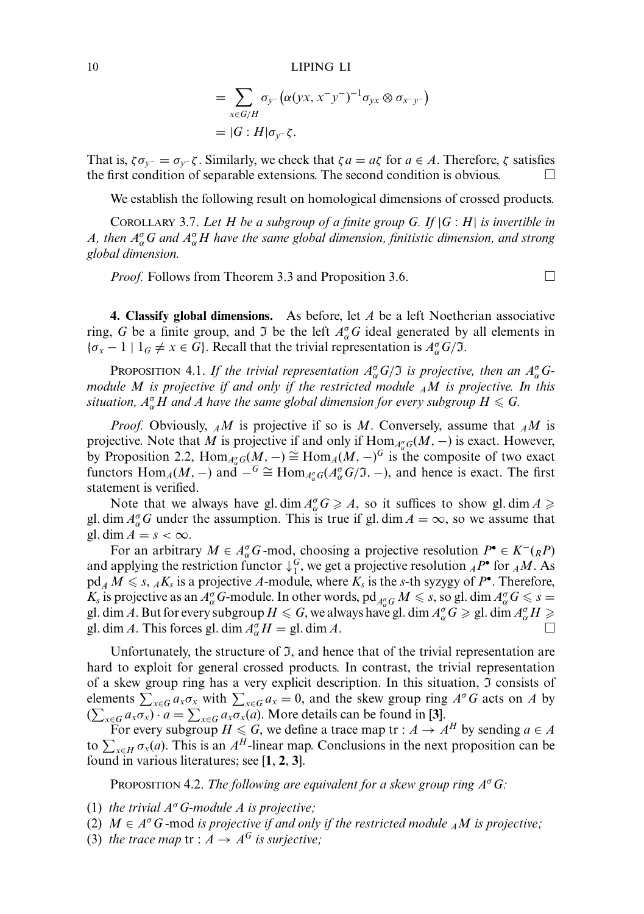$$
= \sum_{x \in G/H} \sigma_{y^{-}} (\alpha(yx, x^{-}y^{-})^{-1} \sigma_{yx} \otimes \sigma_{x^{-}y^{-}})
$$
  
= |G : H|  $\sigma_{y^{-}} \zeta$ .

That is,  $\zeta \sigma_{v^-} = \sigma_{v^-} \zeta$ . Similarly, we check that  $\zeta a = a\zeta$  for  $a \in A$ . Therefore,  $\zeta$  satisfies the first condition of separable extensions. The second condition is obvious.  $\Box$ 

We establish the following result on homological dimensions of crossed products.

COROLLARY 3.7. *Let H be a subgroup of a finite group G. If* |*G* : *H*| *is invertible in A*, then  $A^{\sigma}_{\alpha}G$  and  $A^{\sigma}_{\alpha}H$  have the same global dimension, finitistic dimension, and strong *global dimension.*

*Proof.* Follows from Theorem 3.3 and Proposition 3.6. □

**4. Classify global dimensions.** As before, let *A* be a left Noetherian associative ring, *G* be a finite group, and *J* be the left  $A_{\alpha}^{\sigma}G$  ideal generated by all elements in  $\{\sigma_x - 1 \mid 1_G \neq x \in G\}$ . Recall that the trivial representation is  $A^{\sigma}_{\alpha}G/\mathfrak{I}$ .

PROPOSITION 4.1. If the trivial representation  $A^{\sigma}_{\alpha}G/\mathfrak{I}$  is projective, then an  $A^{\sigma}_{\alpha}G$ *module M is projective if and only if the restricted module AM is projective. In this* situation,  $A^{\sigma}_{\alpha}H$  and A have the same global dimension for every subgroup  $H \leqslant G$ .

*Proof.* Obviously, *AM* is projective if so is *M*. Conversely, assume that *AM* is projective. Note that *M* is projective if and only if  $\text{Hom}_{A_{\alpha}^{\sigma}G}(M, -)$  is exact. However, by Proposition 2.2,  $\text{Hom}_{A_{\alpha}^{\sigma}}(M, -) \cong \text{Hom}_{A}(M, -)^{G}$  is the composite of two exact functors  $\text{Hom}_{A}(M, -)$  and  $-\frac{G}{2} \cong \text{Hom}_{A_{\alpha}^{\sigma}G}(A_{\alpha}^{\sigma}G/\mathfrak{I}, -)$ , and hence is exact. The first statement is verified.

Note that we always have gl. dim  $A_{\alpha}^{\sigma}G \geq A$ , so it suffices to show gl. dim  $A \geq$ gl. dim  $A_{\alpha}^{\sigma}G$  under the assumption. This is true if gl. dim  $A = \infty$ , so we assume that gl. dim  $A = s < \infty$ .

For an arbitrary  $M \in A_{\alpha}^{\sigma}G$ -mod, choosing a projective resolution  $P^{\bullet} \in K^{-}(R)$ and applying the restriction functor  $\downarrow_1^G$ , we get a projective resolution  ${}_AP^{\bullet}$  for  ${}_AM$ . As  $pd_A M \le s$ ,  $_A K_s$  is a projective A-module, where  $K_s$  is the *s*-th syzygy of  $P^{\bullet}$ . Therefore, *K<sub>s</sub>* is projective as an  $A^{\sigma}_{\alpha}$  *G*-module. In other words, pd<sub> $A^{\sigma}_{\alpha}$ </sub>  $M \le s$ , so gl. dim  $A^{\sigma}_{\alpha}$   $G \le s$ gl. dim *A*. But for every subgroup  $H \le G$ , we always have gl. dim  $A_\alpha^\sigma G \ge g$ l. dim  $A_\alpha^\sigma H \ge$ gl. dim *A*. This forces gl. dim  $A_{\alpha}^{\sigma}H =$  gl. dim *A*.

Unfortunately, the structure of  $\mathfrak{I}$ , and hence that of the trivial representation are hard to exploit for general crossed products. In contrast, the trivial representation of a skew group ring has a very explicit description. In this situation,  $\mathfrak I$  consists of elements  $\sum_{x \in G} a_x \sigma_x$  with  $\sum_{x \in G} a_x = 0$ , and the skew group ring  $A^{\sigma}G$  acts on *A* by  $(\sum_{x \in G} a_x \sigma_x) \cdot a = \sum_{x \in G} a_x \sigma_x(a)$ . More details can be found in [3].

For every subgroup  $H \le G$ , we define a trace map tr :  $A \rightarrow A^H$  by sending  $a \in A$ to  $\sum_{x \in H} \sigma_x(a)$ . This is an *A<sup>H</sup>*-linear map. Conclusions in the next proposition can be found in various literatures; see [**1**, **2**, **3**].

PROPOSITION 4.2. *The following are equivalent for a skew group ring A*<sup>σ</sup>*G:*

- (1) *the trivial A*<sup>σ</sup>*G-module A is projective;*
- (2)  $M \in A^{\sigma}G$ -mod *is projective if and only if the restricted module*  $_A M$  *is projective*;
- (3) *the trace map*  $tr : A \rightarrow A^G$  *is surjective*;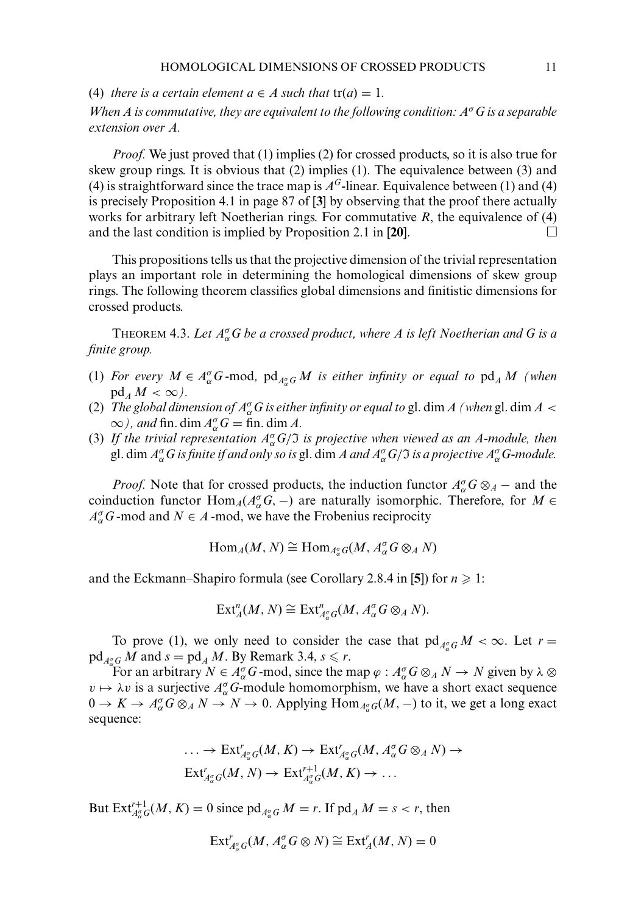(4) *there is a certain element*  $a \in A$  *such that*  $tr(a) = 1$ *.* 

*When A is commutative, they are equivalent to the following condition: A*σ*G is a separable extension over A.*

*Proof.* We just proved that (1) implies (2) for crossed products, so it is also true for skew group rings. It is obvious that (2) implies (1). The equivalence between (3) and (4) is straightforward since the trace map is  $A<sup>G</sup>$ -linear. Equivalence between (1) and (4) is precisely Proposition 4.1 in page 87 of [**3**] by observing that the proof there actually works for arbitrary left Noetherian rings. For commutative *R*, the equivalence of (4) and the last condition is implied by Proposition 2.1 in [**20**].

This propositions tells us that the projective dimension of the trivial representation plays an important role in determining the homological dimensions of skew group rings. The following theorem classifies global dimensions and finitistic dimensions for crossed products.

THEOREM 4.3. *Let A*<sup>σ</sup> <sup>α</sup>*G be a crossed product, where A is left Noetherian and G is a finite group.*

- (1) *For every*  $M \in A_{\alpha}^{\sigma}G$ -mod,  $\text{pd}_{A_{\alpha}^{\sigma}G}M$  is either infinity or equal to  $\text{pd}_{A}M$  (when  $pd_A M < \infty$ ).
- (2) *The global dimension of*  $A^{\sigma}_{\alpha}G$  *is either infinity or equal to gl. dim A (when gl. dim A*  $\prec$  $\infty$ ), and fin. dim  $A_{\alpha}^{\sigma}$  *G* = fin. dim *A*.
- (3) *If the trivial representation A*<sup>σ</sup> <sup>α</sup>*G*/I *is projective when viewed as an A-module, then* gl. dim  $A^{\sigma}_{\alpha}G$  *is finite if and only so is* gl. dim *A and*  $A^{\sigma}_{\alpha}G/\Im$  *is a projective*  $A^{\sigma}_{\alpha}G$ -module.

*Proof.* Note that for crossed products, the induction functor  $A_{\alpha}^{\sigma}G \otimes_A -$  and the coinduction functor  $\text{Hom}_{A}(A_{\alpha}^{\sigma}G, -)$  are naturally isomorphic. Therefore, for *M* ∈  $A_{\alpha}^{\sigma}$ *G* -mod and *N*  $\in$  *A* -mod, we have the Frobenius reciprocity

$$
\text{Hom}_{A}(M, N) \cong \text{Hom}_{A^{\sigma}_{\alpha}G}(M, A^{\sigma}_{\alpha}G \otimes_{A} N)
$$

and the Eckmann–Shapiro formula (see Corollary 2.8.4 in [5]) for  $n \geq 1$ :

$$
\text{Ext}_{A}^{n}(M, N) \cong \text{Ext}_{A_{\alpha}^{\sigma}}^{n}(M, A_{\alpha}^{\sigma}G \otimes_{A} N).
$$

To prove (1), we only need to consider the case that  $\text{pd}_{A_{\alpha}^{\sigma}}G M < \infty$ . Let  $r =$  $\operatorname{pd}_{A_{\alpha}^{\sigma}G} M$  and  $s = \operatorname{pd}_A M$ . By Remark 3.4,  $s \leq r$ .

For an arbitrary  $N \in A_{\alpha}^{\sigma}G$ -mod, since the map  $\varphi : A_{\alpha}^{\sigma}G \otimes_A N \to N$  given by  $\lambda \otimes$  $v \mapsto \lambda v$  is a surjective  $A_{\alpha}^{\sigma}$  G-module homomorphism, we have a short exact sequence  $0 \to K \to A_{\alpha}^{\sigma} G \otimes_A N \to N \to 0$ . Applying  $\text{Hom}_{A_{\alpha}^{\sigma}G}(M, -)$  to it, we get a long exact sequence:

$$
\ldots \to \text{Ext}^r_{A^{\sigma}_{\alpha}G}(M, K) \to \text{Ext}^r_{A^{\sigma}_{\alpha}G}(M, A^{\sigma}_{\alpha}G \otimes_A N) \to
$$
  

$$
\text{Ext}^r_{A^{\sigma}_{\alpha}G}(M, N) \to \text{Ext}^{r+1}_{A^{\sigma}_{\alpha}G}(M, K) \to \ldots
$$

But  $\text{Ext}_{A_{\alpha}^{\sigma}}^{r+1}(M, K) = 0$  since  $\text{pd}_{A_{\alpha}^{\sigma}}G M = r$ . If  $\text{pd}_{A} M = s < r$ , then

$$
\mathrm{Ext}^r_{A^{\sigma}_\alpha G}(M, A^{\sigma}_\alpha G\otimes N)\cong \mathrm{Ext}^r_A(M, N)=0
$$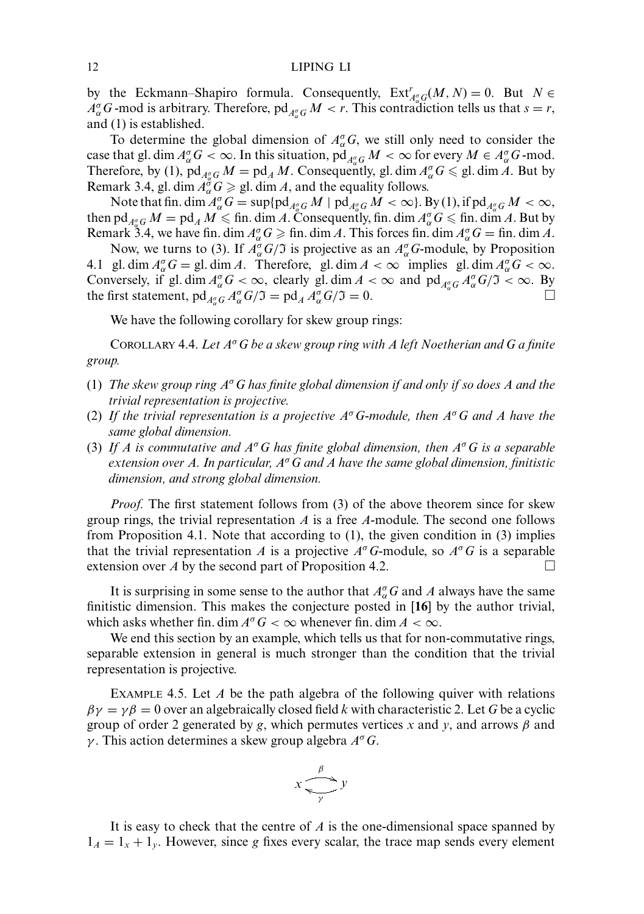by the Eckmann–Shapiro formula. Consequently,  $\operatorname{Ext}_{A_{\alpha}^{\sigma}}^{r}(M, N) = 0$ . But  $N \in$  $A^{\sigma}_{\alpha}G$  -mod is arbitrary. Therefore, pd<sub>*A*<sup> $\sigma}_{\alpha}G$ </sub> *M* < *r*. This contradiction tells us that  $s = r$ ,</sub></sup> and (1) is established.

To determine the global dimension of  $A_{\alpha}^{\sigma}G$ , we still only need to consider the case that gl. dim  $A^{\sigma}_{\alpha}G < \infty$ . In this situation, pd<sub> $A^{\sigma}_{\alpha}G M < \infty$  for every  $M \in A^{\sigma}_{\alpha}G$ -mod.</sub> Therefore, by (1),  $pd_{\frac{d\sigma}{\sigma}}G M = pd_{A}M$ . Consequently, gl. dim  $A_{\alpha}^{\sigma}G \le$  gl. dim *A*. But by Remark 3.4, gl. dim  $A_{\alpha}^{\sigma} G \geqslant$  gl. dim *A*, and the equality follows.

Note that fin. dim  $A^{\sigma}_{\alpha}G = \sup \{ \text{pd}_{A^{\sigma}_{\alpha}G} M \mid \text{pd}_{A^{\sigma}_{\alpha}G} M < \infty \}$ . By (1), if  $\text{pd}_{A^{\sigma}_{\alpha}G} M < \infty$ , then pd<sub> $A_{\alpha}^{\sigma}G$ </sub>  $M = \text{pd}_A M \leq \text{fin. dim } A$ . Consequently, fin. dim  $A_{\alpha}^{\sigma}G \leq \text{fin. dim } A$ . But by Remark 3.4, we have fin. dim  $A_{\alpha}^{\sigma}G \ge \text{fin.}$  dim *A*. This forces fin. dim  $A_{\alpha}^{\sigma}G = \text{fin.}$  dim *A*.

Now, we turns to (3). If  $A^{\sigma}_{\alpha}G/\mathfrak{I}$  is projective as an  $A^{\sigma}_{\alpha}G$ -module, by Proposition 4.1 gl. dim  $A_{\alpha}^{\sigma}G =$  gl. dim *A*. Therefore, gl. dim  $A < \infty$  implies gl. dim  $A_{\alpha}^{\sigma}G < \infty$ . Conversely, if gl. dim  $A^{\sigma}_{\alpha}G < \infty$ , clearly gl. dim  $A < \infty$  and  $\text{pd}_{A^{\sigma}_{\alpha}G}A^{\sigma}_{\alpha}G/\mathfrak{I} < \infty$ . By the first statement,  $pd_{A^{\sigma}_{\alpha}G} A^{\sigma}_{\alpha}G/\mathfrak{I} = pd_{A} A^{\sigma}_{\alpha}G/\mathfrak{I} = 0.$ 

We have the following corollary for skew group rings:

COROLLARY 4.4. *Let A*<sup>σ</sup>*G be a skew group ring with A left Noetherian and G a finite group.*

- (1) *The skew group ring A*<sup>σ</sup>*G has finite global dimension if and only if so does A and the trivial representation is projective.*
- (2) *If the trivial representation is a projective A*<sup>σ</sup>*G-module, then A*<sup>σ</sup>*G and A have the same global dimension.*
- (3) *If A is commutative and A*<sup>σ</sup>*G has finite global dimension, then A*<sup>σ</sup>*G is a separable extension over A. In particular, A*<sup>σ</sup>*G and A have the same global dimension, finitistic dimension, and strong global dimension.*

*Proof.* The first statement follows from (3) of the above theorem since for skew group rings, the trivial representation *A* is a free *A*-module. The second one follows from Proposition 4.1. Note that according to (1), the given condition in (3) implies that the trivial representation *A* is a projective  $A^{\sigma}G$ -module, so  $A^{\sigma}G$  is a separable extension over *A* by the second part of Proposition 4.2.

It is surprising in some sense to the author that  $A^{\sigma}_{\alpha}G$  and A always have the same finitistic dimension. This makes the conjecture posted in [**16**] by the author trivial, which asks whether fin. dim  $A^{\sigma}G < \infty$  whenever fin. dim  $A < \infty$ .

We end this section by an example, which tells us that for non-commutative rings, separable extension in general is much stronger than the condition that the trivial representation is projective.

EXAMPLE 4.5. Let *A* be the path algebra of the following quiver with relations  $\beta \gamma = \gamma \beta = 0$  over an algebraically closed field *k* with characteristic 2. Let *G* be a cyclic group of order 2 generated by *g*, which permutes vertices *x* and *y*, and arrows β and γ . This action determines a skew group algebra *A*<sup>σ</sup>*G*.

$$
x \xrightarrow{\beta} y
$$

It is easy to check that the centre of *A* is the one-dimensional space spanned by  $1_A = 1_x + 1_y$ . However, since *g* fixes every scalar, the trace map sends every element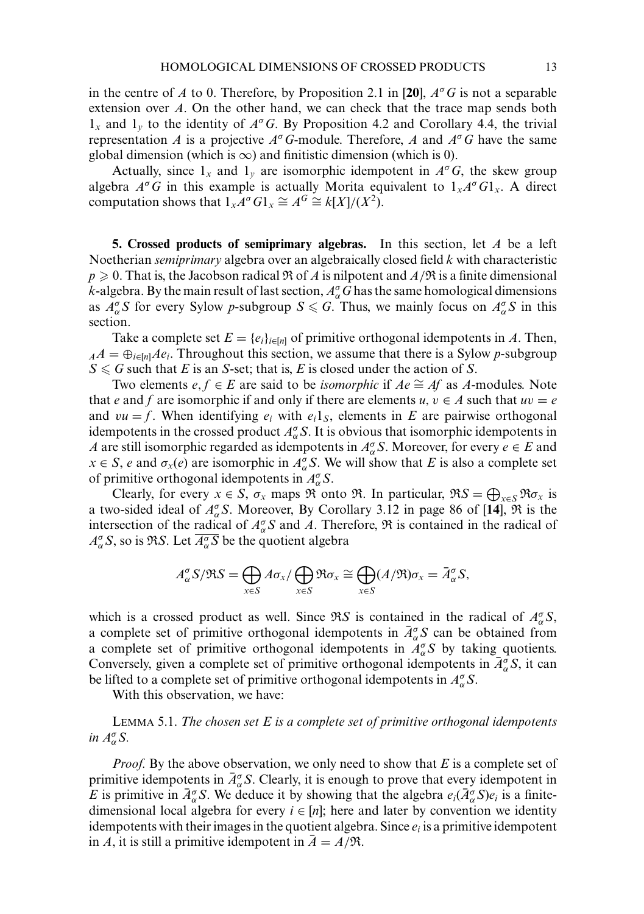in the centre of *A* to 0. Therefore, by Proposition 2.1 in [20],  $A^{\sigma}G$  is not a separable extension over *A*. On the other hand, we can check that the trace map sends both 1*<sup>x</sup>* and 1*<sup>y</sup>* to the identity of *A*σ*G*. By Proposition 4.2 and Corollary 4.4, the trivial representation *A* is a projective  $A^{\sigma}$ *G*-module. Therefore, *A* and  $A^{\sigma}$ *G* have the same global dimension (which is  $\infty$ ) and finitistic dimension (which is 0).

Actually, since  $1_x$  and  $1_y$  are isomorphic idempotent in  $A^\sigma G$ , the skew group algebra  $A^{\sigma}G$  in this example is actually Morita equivalent to  $1_{x}A^{\sigma}G1_{x}$ . A direct computation shows that  $1_x A^\sigma G1_x \cong A^G \cong k[X]/(X^2)$ .

**5. Crossed products of semiprimary algebras.** In this section, let *A* be a left Noetherian *semiprimary* algebra over an algebraically closed field *k* with characteristic  $p \ge 0$ . That is, the Jacobson radical  $\Re$  of *A* is nilpotent and  $A/\Re$  is a finite dimensional *k*-algebra. By the main result of last section,  $A^{\sigma}_{\alpha}G$  has the same homological dimensions as  $A_{\alpha}^{\sigma} S$  for every Sylow *p*-subgroup  $S \le G$ . Thus, we mainly focus on  $A_{\alpha}^{\sigma} S$  in this section.

Take a complete set  $E = \{e_i\}_{i \in [n]}$  of primitive orthogonal idempotents in *A*. Then,  $A^A = \bigoplus_{i \in [n]} A e_i$ . Throughout this section, we assume that there is a Sylow *p*-subgroup  $S \le G$  such that *E* is an *S*-set; that is, *E* is closed under the action of *S*.

Two elements  $e, f \in E$  are said to be *isomorphic* if  $Ae \cong Af$  as  $A$ -modules. Note that *e* and *f* are isomorphic if and only if there are elements  $u, v \in A$  such that  $uv = e$ and  $vu = f$ . When identifying  $e_i$  with  $e_i 1_S$ , elements in *E* are pairwise orthogonal idempotents in the crossed product  $A_{\alpha}^{\sigma} S$ . It is obvious that isomorphic idempotents in *A* are still isomorphic regarded as idempotents in  $A_{\alpha}^{\sigma}$  *S*. Moreover, for every *e* ∈ *E* and  $x \in S$ , *e* and  $\sigma_x(e)$  are isomorphic in  $A^{\sigma}_{\alpha}S$ . We will show that *E* is also a complete set of primitive orthogonal idempotents in  $A_{\alpha}^{\sigma} S$ .

Clearly, for every  $x \in S$ ,  $\sigma_x$  maps  $\Re$  onto  $\Re$ . In particular,  $\Re S = \bigoplus_{x \in S} \Re \sigma_x$  is a two-sided ideal of  $A_{\alpha}^{\sigma}$ S. Moreover, By Corollary 3.12 in page 86 of [14],  $\Re$  is the intersection of the radical of  $A_{\alpha}^{\sigma} S$  and *A*. Therefore,  $\Re$  is contained in the radical of  $A^{\sigma}_{\alpha} S$ , so is R*S*. Let  $\overline{A^{\sigma}_{\alpha} S}$  be the quotient algebra

$$
A_{\alpha}^{\sigma} S/\Re S = \bigoplus_{x \in S} A \sigma_x / \bigoplus_{x \in S} \Re \sigma_x \cong \bigoplus_{x \in S} (A/\Re) \sigma_x = \bar{A}_{\alpha}^{\sigma} S,
$$

which is a crossed product as well. Since  $\Re S$  is contained in the radical of  $A_{\alpha}^{\sigma}S$ , a complete set of primitive orthogonal idempotents in  $\bar{A}_{\alpha}^{\sigma} S$  can be obtained from a complete set of primitive orthogonal idempotents in  $A_{\alpha}^{\sigma} S$  by taking quotients. Conversely, given a complete set of primitive orthogonal idempotents in  $\bar{A}_{\alpha}^{\sigma} S$ , it can be lifted to a complete set of primitive orthogonal idempotents in  $A_{\alpha}^{\sigma} S$ .

With this observation, we have:

LEMMA 5.1. *The chosen set E is a complete set of primitive orthogonal idempotents in*  $A^{\sigma}_{\alpha}S$ .

*Proof.* By the above observation, we only need to show that *E* is a complete set of primitive idempotents in  $\bar{A}_{\alpha}^{\sigma}$  S. Clearly, it is enough to prove that every idempotent in *E* is primitive in  $\bar{A}_{\alpha}^{\sigma} S$ . We deduce it by showing that the algebra  $e_i(\bar{A}_{\alpha}^{\sigma} S)e_i$  is a finitedimensional local algebra for every  $i \in [n]$ ; here and later by convention we identity idempotents with their images in the quotient algebra. Since  $e_i$  is a primitive idempotent in *A*, it is still a primitive idempotent in  $\bar{A} = A/\Re$ .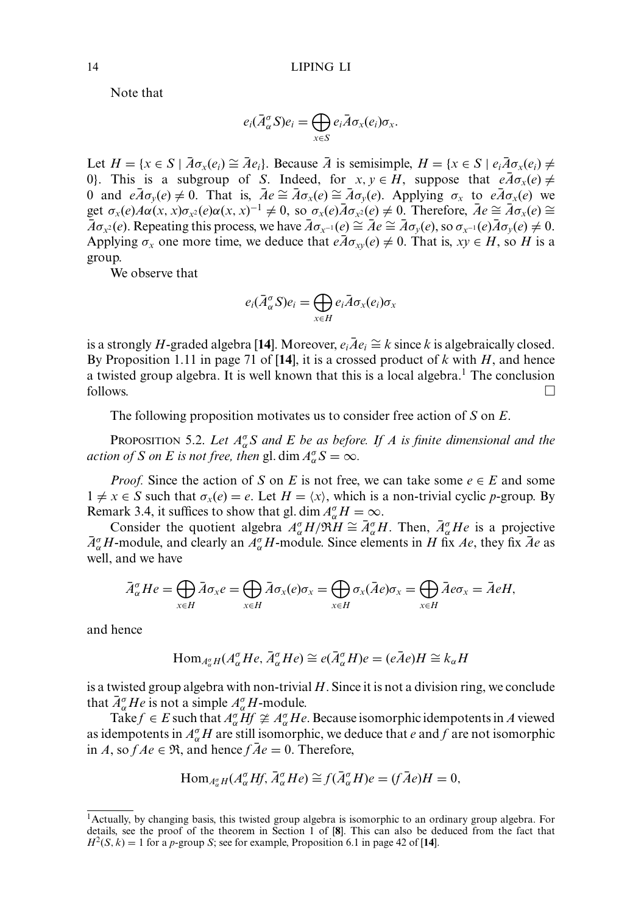Note that

$$
e_i(\bar{A}_{\alpha}^{\sigma}S)e_i=\bigoplus_{x\in S}e_i\bar{A}\sigma_x(e_i)\sigma_x.
$$

Let  $H = \{x \in S \mid \overline{A}\sigma_x(e_i) \cong \overline{A}e_i\}$ . Because  $\overline{A}$  is semisimple,  $H = \{x \in S \mid e_i \overline{A} \sigma_x(e_i) \neq$ 0). This is a subgroup of *S*. Indeed, for  $x, y \in H$ , suppose that  $e\overline{A}\sigma_x(e) \neq$ 0 and  $eA\sigma_y(e) \neq 0$ . That is,  $\bar{A}e \cong \bar{A}\sigma_x(e) \cong \bar{A}\sigma_y(e)$ . Applying  $\sigma_x$  to  $e\bar{A}\sigma_x(e)$  we get  $\sigma_x(e)A\alpha(x, x)\sigma_{x^2}(e)\alpha(x, x)^{-1} \neq 0$ , so  $\sigma_x(e)\overline{A}\sigma_{x^2}(e) \neq 0$ . Therefore,  $\overline{A}e \cong \overline{A}\sigma_x(e) \cong$  $\overline{A}\sigma_{x^2}(e)$ . Repeating this process, we have  $\overline{A}\sigma_{x^{-1}}(e) \cong \overline{A}e \cong \overline{A}\sigma_y(e)$ , so  $\sigma_{x^{-1}}(e)\overline{A}\sigma_y(e) \neq 0$ . Applying  $\sigma_x$  one more time, we deduce that  $e\bar{A}\sigma_{xy}(e) \neq 0$ . That is,  $xy \in H$ , so *H* is a group.

We observe that

$$
e_i(\bar{A}_{\alpha}^{\sigma}S)e_i = \bigoplus_{x \in H} e_i \bar{A} \sigma_x(e_i) \sigma_x
$$

is a strongly *H*-graded algebra [14]. Moreover,  $e_i \overline{A} e_i \cong k$  since *k* is algebraically closed. By Proposition 1.11 in page 71 of [**14**], it is a crossed product of *k* with *H*, and hence a twisted group algebra. It is well known that this is a local algebra.<sup>1</sup> The conclusion follows.

The following proposition motivates us to consider free action of *S* on *E*.

**PROPOSITION 5.2.** Let  $A^{\sigma}_{\alpha}S$  and E be as before. If A is finite dimensional and the *action of S on E is not free, then* gl. dim  $A^{\sigma}_{\alpha}S = \infty$ *.* 

*Proof.* Since the action of *S* on *E* is not free, we can take some  $e \in E$  and some  $1 \neq x \in S$  such that  $\sigma_x(e) = e$ . Let  $H = \langle x \rangle$ , which is a non-trivial cyclic *p*-group. By Remark 3.4, it suffices to show that gl. dim  $A_{\alpha}^{\sigma}H = \infty$ .

Consider the quotient algebra  $A_{\alpha}^{\sigma}H/\mathfrak{R}H \cong \bar{A}_{\alpha}^{\sigma}H$ . Then,  $\bar{A}_{\alpha}^{\sigma}He$  is a projective  $\bar{A}_{\alpha}^{\sigma}H$ -module, and clearly an  $A_{\alpha}^{\sigma}H$ -module. Since elements in *H* fix *Ae*, they fix  $\bar{A}e$  as well, and we have

$$
\bar{A}_{\alpha}^{\sigma}He = \bigoplus_{x \in H} \bar{A}\sigma_x e = \bigoplus_{x \in H} \bar{A}\sigma_x(e)\sigma_x = \bigoplus_{x \in H} \sigma_x(\bar{A}e)\sigma_x = \bigoplus_{x \in H} \bar{A}e\sigma_x = \bar{A}eH,
$$

and hence

$$
\text{Hom}_{A^{\sigma}_{\alpha}H}(A^{\sigma}_{\alpha}He, \bar{A}^{\sigma}_{\alpha}He) \cong e(\bar{A}^{\sigma}_{\alpha}H)e = (e\bar{A}e)H \cong k_{\alpha}H
$$

is a twisted group algebra with non-trivial *H*. Since it is not a division ring, we conclude that  $\bar{A}_{\alpha}^{\sigma}$  *He* is not a simple  $A_{\alpha}^{\sigma}$ *H*-module.

Take  $f \in E$  such that  $A_{\alpha}^{\sigma} Hf \ncong A_{\alpha}^{\sigma} He$ . Because isomorphic idempotents in A viewed as idempotents in  $A_{\alpha}^{\sigma}H$  are still isomorphic, we deduce that *e* and *f* are not isomorphic in *A*, so  $f A e \in \Re$ , and hence  $f \overline{A} e = 0$ . Therefore,

$$
\text{Hom}_{A^{\sigma}_{\alpha}H}(A^{\sigma}_{\alpha}Hf, \bar{A}^{\sigma}_{\alpha}He) \cong f(\bar{A}^{\sigma}_{\alpha}H)e = (f\bar{A}e)H = 0,
$$

<sup>1</sup>Actually, by changing basis, this twisted group algebra is isomorphic to an ordinary group algebra. For details, see the proof of the theorem in Section 1 of [**8**]. This can also be deduced from the fact that  $H^2(S, k) = 1$  for a *p*-group *S*; see for example, Proposition 6.1 in page 42 of [14].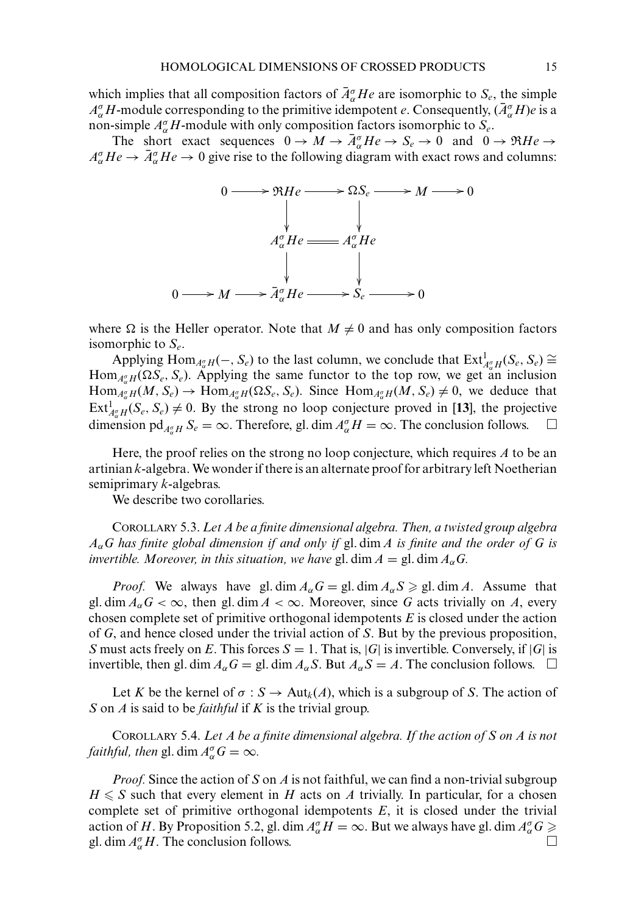which implies that all composition factors of  $\bar{A}_{\alpha}^{\sigma}He$  are isomorphic to  $S_e$ , the simple  $A_{\alpha}^{\sigma}H$ -module corresponding to the primitive idempotent *e*. Consequently,  $(\bar{A}_{\alpha}^{\sigma}H)e$  is a non-simple *A*<sup>σ</sup> <sup>α</sup>*H*-module with only composition factors isomorphic to *Se*.

The short exact sequences  $0 \to M \to \bar{A}_{\alpha}^{\sigma}He \to S_e \to 0$  and  $0 \to \Re{He} \to \bar{A}_{\alpha}^{\sigma}He \to \bar{A}_{\alpha}^{\sigma}He \to \bar{A}_{\alpha}^{\sigma}He \to \bar{A}_{\alpha}^{\sigma}He \to \bar{A}_{\alpha}^{\sigma}He \to \bar{A}_{\alpha}^{\sigma}He \to \bar{A}_{\alpha}^{\sigma}He \to \bar{A}_{\alpha}^{\sigma}He \to \bar{A}_{\alpha}^{\sigma}He \to \bar{A}_{\alpha}^{\sigma}He \to$  $A_{\alpha}^{\sigma}He \rightarrow \bar{A}_{\alpha}^{\sigma}He \rightarrow 0$  give rise to the following diagram with exact rows and columns:



where  $\Omega$  is the Heller operator. Note that  $M \neq 0$  and has only composition factors isomorphic to *Se*.

Applying  $\text{Hom}_{A^{\sigma}_{\alpha}H}(-, S_e)$  to the last column, we conclude that  $\text{Ext}^1_{A^{\sigma}_{\alpha}H}(S_e, S_e) \cong$  $\text{Hom}_{A_{\alpha}^{\sigma}H}(\Omega S_e, S_e)$ . Applying the same functor to the top row, we get an inclusion  $\text{Hom}_{A_{\alpha}^{\sigma}H}(M, S_e) \to \text{Hom}_{A_{\alpha}^{\sigma}H}(\Omega S_e, S_e)$ . Since  $\text{Hom}_{A_{\alpha}^{\sigma}H}(M, S_e) \neq 0$ , we deduce that  $\text{Ext}^1_{A^{\sigma}_\alpha H}(S_e, S_e) \neq 0$ . By the strong no loop conjecture proved in [13], the projective dimension  $pd_{A^{\sigma}_{\alpha}H} S_e = \infty$ . Therefore, gl. dim  $A^{\sigma}_{\alpha}H = \infty$ . The conclusion follows.  $\square$ 

Here, the proof relies on the strong no loop conjecture, which requires *A* to be an artinian *k*-algebra. We wonder if there is an alternate proof for arbitrary left Noetherian semiprimary *k*-algebras.

We describe two corollaries.

COROLLARY 5.3. *Let A be a finite dimensional algebra. Then, a twisted group algebra A*α*G has finite global dimension if and only if* gl. dim *A is finite and the order of G is invertible. Moreover, in this situation, we have* gl. dim  $A = \text{gl. dim } A_{\alpha} G$ .

*Proof.* We always have gl. dim  $A_{\alpha}G = \text{gl. dim } A_{\alpha}S \geq \text{gl. dim } A$ . Assume that gl. dim  $A_{\alpha}G < \infty$ , then gl. dim  $A < \infty$ . Moreover, since G acts trivially on A, every chosen complete set of primitive orthogonal idempotents *E* is closed under the action of *G*, and hence closed under the trivial action of *S*. But by the previous proposition, *S* must acts freely on *E*. This forces  $S = 1$ . That is,  $|G|$  is invertible. Conversely, if  $|G|$  is invertible, then gl. dim  $A_\alpha G =$  gl. dim  $A_\alpha S$ . But  $A_\alpha S = A$ . The conclusion follows.  $\Box$ 

Let *K* be the kernel of  $\sigma : S \to Aut_k(A)$ , which is a subgroup of *S*. The action of *S* on *A* is said to be *faithful* if *K* is the trivial group.

COROLLARY 5.4. *Let A be a finite dimensional algebra. If the action of S on A is not faithful, then* gl. dim  $A^{\sigma}_{\alpha}G = \infty$ *.* 

*Proof.* Since the action of *S* on *A* is not faithful, we can find a non-trivial subgroup  $H \leq S$  such that every element in *H* acts on *A* trivially. In particular, for a chosen complete set of primitive orthogonal idempotents *E*, it is closed under the trivial action of *H*. By Proposition 5.2, gl. dim  $A_{\alpha}^{\sigma}H = \infty$ . But we always have gl. dim  $A_{\alpha}^{\sigma}G \ge$ gl. dim  $A_{\alpha}^{\sigma}H$ . The conclusion follows.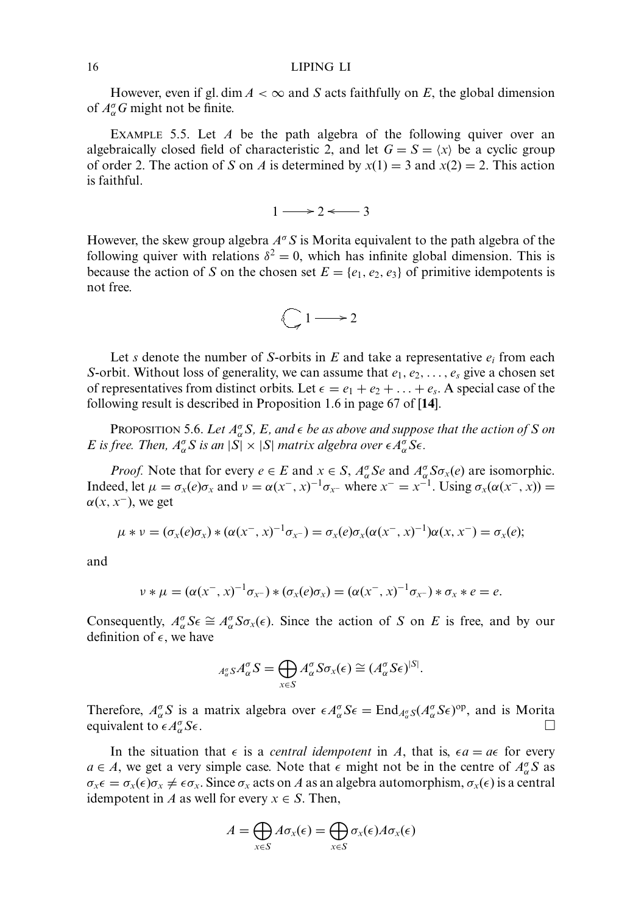However, even if gl. dim  $A < \infty$  and *S* acts faithfully on *E*, the global dimension of  $A_{\alpha}^{\sigma}G$  might not be finite.

EXAMPLE 5.5. Let *A* be the path algebra of the following quiver over an algebraically closed field of characteristic 2, and let  $G = S = \langle x \rangle$  be a cyclic group of order 2. The action of *S* on *A* is determined by  $x(1) = 3$  and  $x(2) = 2$ . This action is faithful.

$$
1 \longrightarrow 2 \longleftarrow 3
$$

However, the skew group algebra *A*<sup>σ</sup>*S* is Morita equivalent to the path algebra of the following quiver with relations  $\delta^2 = 0$ , which has infinite global dimension. This is because the action of *S* on the chosen set  $E = \{e_1, e_2, e_3\}$  of primitive idempotents is not free.



Let *s* denote the number of *S*-orbits in  $E$  and take a representative  $e_i$  from each *S*-orbit. Without loss of generality, we can assume that  $e_1, e_2, \ldots, e_s$  give a chosen set of representatives from distinct orbits. Let  $\epsilon = e_1 + e_2 + \ldots + e_s$ . A special case of the following result is described in Proposition 1.6 in page 67 of [**14**].

PROPOSITION 5.6. Let  $A^{\sigma}_{\alpha}S$ , E, and  $\epsilon$  be as above and suppose that the action of S on *E* is free. Then,  $A^{\sigma}_{\alpha}S$  is an  $|S| \times |S|$  matrix algebra over  $\epsilon A^{\sigma}_{\alpha}S\epsilon$ .

*Proof.* Note that for every  $e \in E$  and  $x \in S$ ,  $A_{\alpha}^{\sigma} S e$  and  $A_{\alpha}^{\sigma} S \sigma_x(e)$  are isomorphic. Indeed, let  $\mu = \sigma_x(e)\sigma_x$  and  $\nu = \alpha(x^-, x)^{-1}\sigma_{x^-}$  where  $x^- = x^{-1}$ . Using  $\sigma_x(\alpha(x^-, x)) =$  $\alpha(x, x^-)$ , we get

$$
\mu * \nu = (\sigma_x(e)\sigma_x) * (\alpha(x^-, x)^{-1}\sigma_{x^-}) = \sigma_x(e)\sigma_x(\alpha(x^-, x)^{-1})\alpha(x, x^-) = \sigma_x(e);
$$

and

$$
\nu * \mu = (\alpha(x^-, x)^{-1} \sigma_{x^-}) * (\sigma_x(e) \sigma_x) = (\alpha(x^-, x)^{-1} \sigma_{x^-}) * \sigma_x * e = e.
$$

Consequently,  $A_{\alpha}^{\sigma} S \epsilon \cong A_{\alpha}^{\sigma} S \sigma_x(\epsilon)$ . Since the action of *S* on *E* is free, and by our definition of  $\epsilon$ , we have

$$
A_{\alpha}^{\sigma} S A_{\alpha}^{\sigma} S = \bigoplus_{x \in S} A_{\alpha}^{\sigma} S \sigma_x(\epsilon) \cong (A_{\alpha}^{\sigma} S \epsilon)^{|S|}.
$$

Therefore,  $A_{\alpha}^{\sigma} S$  is a matrix algebra over  $\epsilon A_{\alpha}^{\sigma} S \epsilon = \text{End}_{A_{\alpha}^{\sigma}} S (A_{\alpha}^{\sigma} S \epsilon)^{\text{op}}$ , and is Morita equivalent to  $\epsilon A_{\alpha}^{\sigma} S \epsilon$ .  $\alpha^{\sigma}$ S $\epsilon$ .

In the situation that  $\epsilon$  is a *central idempotent* in *A*, that is,  $\epsilon a = a\epsilon$  for every  $a \in A$ , we get a very simple case. Note that  $\epsilon$  might not be in the centre of  $A_{\alpha}^{\sigma} S$  as  $\sigma_x \epsilon = \sigma_x(\epsilon) \sigma_x \neq \epsilon \sigma_x$ . Since  $\sigma_x$  acts on *A* as an algebra automorphism,  $\sigma_x(\epsilon)$  is a central idempotent in *A* as well for every  $x \in S$ . Then,

$$
A = \bigoplus_{x \in S} A \sigma_x(\epsilon) = \bigoplus_{x \in S} \sigma_x(\epsilon) A \sigma_x(\epsilon)
$$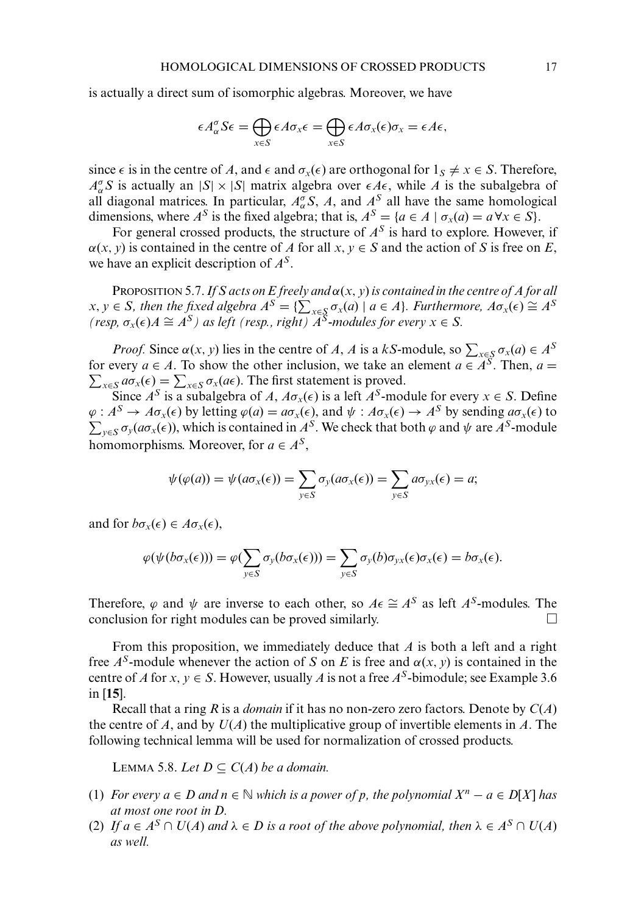is actually a direct sum of isomorphic algebras. Moreover, we have

$$
\epsilon A_{\alpha}^{\sigma} S \epsilon = \bigoplus_{x \in S} \epsilon A \sigma_x \epsilon = \bigoplus_{x \in S} \epsilon A \sigma_x(\epsilon) \sigma_x = \epsilon A \epsilon,
$$

since  $\epsilon$  is in the centre of *A*, and  $\epsilon$  and  $\sigma_x(\epsilon)$  are orthogonal for  $1_S \neq x \in S$ . Therefore,  $A_{\alpha}^{\sigma} S$  is actually an  $|S| \times |S|$  matrix algebra over  $\epsilon A \epsilon$ , while *A* is the subalgebra of all diagonal matrices. In particular,  $A_{\alpha}^{\sigma} S$ , *A*, and  $A_{\alpha}^{S}$  all have the same homological dimensions, where  $A^S$  is the fixed algebra; that is,  $A^S = \{a \in A \mid \sigma_x(a) = a \,\forall x \in S\}$ .

For general crossed products, the structure of  $A<sup>S</sup>$  is hard to explore. However, if  $\alpha(x, y)$  is contained in the centre of *A* for all *x*,  $y \in S$  and the action of *S* is free on *E*, we have an explicit description of *AS*.

PROPOSITION 5.7.*If S acts on E freely and* α(*x*, *y*)*is contained in the centre of A for all*  $x, y \in S$ , then the fixed algebra  $A^S = \{ \sum_{x \in S} \sigma_x(a) \mid a \in A \}$ *. Furthermore,*  $A\sigma_x(\epsilon) \cong A^S$ *(resp,*  $\sigma_x(\epsilon)A \cong A^S$ ) as left (resp., right)  $\widetilde{A}^S$ -modules for every  $x \in S$ .

*Proof.* Since  $\alpha(x, y)$  lies in the centre of *A*, *A* is a *kS*-module, so  $\sum_{x \in S} \sigma_x(a) \in A^S$ for every  $a \in A$ . To show the other inclusion, we take an element  $a \in A^S$ . Then,  $a =$  $\sum_{x \in S} a \sigma_x(\epsilon) = \sum_{x \in S} \sigma_x(a\epsilon)$ . The first statement is proved.

Since  $A^S$  is a subalgebra of *A*,  $A\sigma_x(\epsilon)$  is a left  $A^S$ -module for every  $x \in S$ . Define  $\varphi: A^S \to A \sigma_x(\epsilon)$  by letting  $\varphi(a) = a \sigma_x(\epsilon)$ , and  $\psi: A \sigma_x(\epsilon) \to A^S$  by sending  $a \sigma_x(\epsilon)$  to  $\sum_{y \in S} \sigma_y(a\sigma_x(\epsilon))$ , which is contained in *A<sup>S</sup>*. We check that both  $\varphi$  and  $\psi$  are *A<sup>S</sup>*-module homomorphisms. Moreover, for  $a \in A^S$ ,

$$
\psi(\varphi(a)) = \psi(a\sigma_x(\epsilon)) = \sum_{y \in S} \sigma_y(a\sigma_x(\epsilon)) = \sum_{y \in S} a\sigma_{yx}(\epsilon) = a;
$$

and for  $b\sigma_x(\epsilon) \in A\sigma_x(\epsilon)$ ,

$$
\varphi(\psi(b\sigma_x(\epsilon))) = \varphi(\sum_{y \in S} \sigma_y(b\sigma_x(\epsilon))) = \sum_{y \in S} \sigma_y(b)\sigma_{yx}(\epsilon)\sigma_x(\epsilon) = b\sigma_x(\epsilon).
$$

Therefore,  $\varphi$  and  $\psi$  are inverse to each other, so  $A \in \cong A^S$  as left  $A^S$ -modules. The conclusion for right modules can be proved similarly.

From this proposition, we immediately deduce that *A* is both a left and a right free  $A^S$ -module whenever the action of *S* on *E* is free and  $\alpha(x, y)$  is contained in the centre of *A* for *x*,  $y \in S$ . However, usually *A* is not a free *A<sup>S</sup>*-bimodule; see Example 3.6 in [**15**].

Recall that a ring *R* is a *domain* if it has no non-zero zero factors. Denote by *C*(*A*) the centre of *A*, and by  $U(A)$  the multiplicative group of invertible elements in *A*. The following technical lemma will be used for normalization of crossed products.

LEMMA 5.8. *Let D* ⊂ *C*(*A*) *be a domain.* 

- (1) *For every*  $a \in D$  *and*  $n \in \mathbb{N}$  *which is a power of p, the polynomial*  $X^n a \in D[X]$  *has at most one root in D.*
- (2) *If*  $a \in A^S \cap U(A)$  *and*  $\lambda \in D$  *is a root of the above polynomial, then*  $\lambda \in A^S \cap U(A)$ *as well.*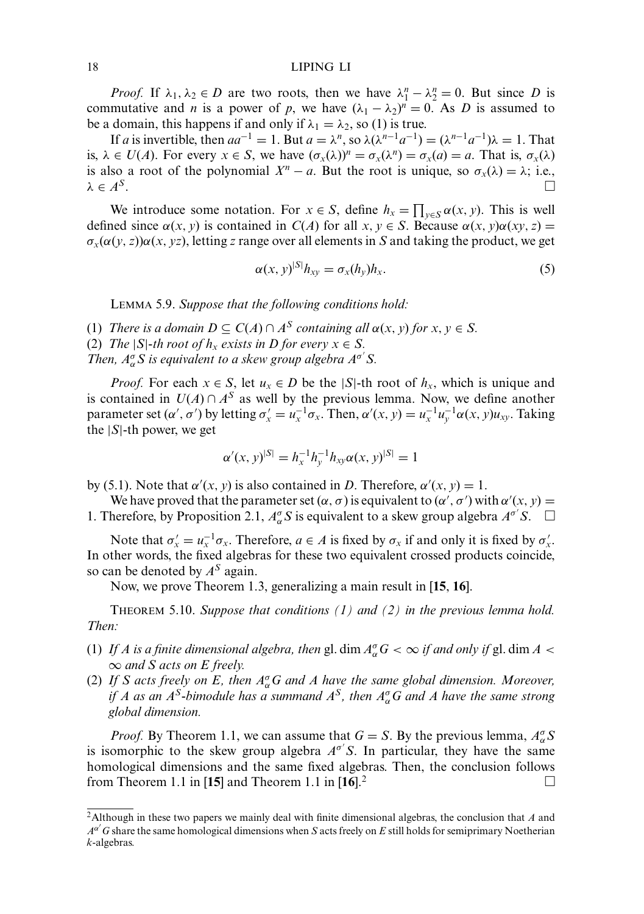*Proof.* If  $\lambda_1, \lambda_2 \in D$  are two roots, then we have  $\lambda_1^n - \lambda_2^n = 0$ . But since *D* is commutative and *n* is a power of *p*, we have  $(\lambda_1 - \lambda_2)^n = 0$ . As *D* is assumed to be a domain, this happens if and only if  $\lambda_1 = \lambda_2$ , so (1) is true.

If *a* is invertible, then  $aa^{-1} = 1$ . But  $a = \lambda^n$ , so  $\lambda(\lambda^{n-1}a^{-1}) = (\lambda^{n-1}a^{-1})\lambda = 1$ . That is,  $\lambda \in U(A)$ . For every  $x \in S$ , we have  $(\sigma_x(\lambda))^n = \sigma_x(\lambda^n) = \sigma_x(a) = a$ . That is,  $\sigma_x(\lambda)$ is also a root of the polynomial  $X^n - a$ . But the root is unique, so  $\sigma_x(\lambda) = \lambda$ ; i.e.,  $\lambda \in A^S$ .  $\lambda \in A^S$ .

We introduce some notation. For  $x \in S$ , define  $h_x = \prod_{y \in S} \alpha(x, y)$ . This is well defined since  $\alpha(x, y)$  is contained in *C*(*A*) for all *x*,  $y \in S$ . Because  $\alpha(x, y)\alpha(xy, z) =$  $\sigma_x(\alpha(y, z))\alpha(x, yz)$ , letting *z* range over all elements in *S* and taking the product, we get

$$
\alpha(x, y)^{|S|} h_{xy} = \sigma_x(h_y) h_x. \tag{5}
$$

LEMMA 5.9. *Suppose that the following conditions hold:*

(1) *There is a domain*  $D \subseteq C(A) \cap A^S$  *containing all*  $\alpha(x, y)$  *for*  $x, y \in S$ *.* 

(2) *The*  $|S|$ *-th root of*  $h_x$  *exists in D for every*  $x \in S$ .

*Then,*  $A_{\alpha}^{\sigma} S$  *is equivalent to a skew group algebra*  $A^{\sigma'} S$ *.* 

*Proof.* For each  $x \in S$ , let  $u_x \in D$  be the |S|-th root of  $h_x$ , which is unique and is contained in  $U(A) \cap A^S$  as well by the previous lemma. Now, we define another parameter set  $(\alpha', \sigma')$  by letting  $\sigma'_x = u_x^{-1}\sigma_x$ . Then,  $\alpha'(x, y) = u_x^{-1}u_y^{-1}\alpha(x, y)u_{xy}$ . Taking the  $|S|$ -th power, we get

$$
\alpha'(x, y)^{|S|} = h_x^{-1} h_y^{-1} h_{xy} \alpha(x, y)^{|S|} = 1
$$

by (5.1). Note that  $\alpha'(x, y)$  is also contained in *D*. Therefore,  $\alpha'(x, y) = 1$ .

We have proved that the parameter set  $(\alpha, \sigma)$  is equivalent to  $(\alpha', \sigma')$  with  $\alpha'(x, y) =$ 1. Therefore, by Proposition 2.1,  $A_{\alpha}^{\sigma} S$  is equivalent to a skew group algebra  $A^{\sigma'} S$ .  $\Box$ 

Note that  $\sigma'_x = u_x^{-1} \sigma_x$ . Therefore,  $a \in A$  is fixed by  $\sigma_x$  if and only it is fixed by  $\sigma'_x$ . In other words, the fixed algebras for these two equivalent crossed products coincide, so can be denoted by *AS* again.

Now, we prove Theorem 1.3, generalizing a main result in [**15**, **16**].

THEOREM 5.10. *Suppose that conditions (1) and (2) in the previous lemma hold. Then:*

- (1) If A is a finite dimensional algebra, then gl. dim  $A^{\sigma}_{\alpha}G < \infty$  if and only if gl. dim A  $<$ ∞ *and S acts on E freely.*
- (2) If S acts freely on E, then  $A^{\sigma}_{\alpha}G$  and A have the same global dimension. Moreover, *if A as an A<sup>S</sup>-bimodule has a summand A<sup>S</sup>, then*  $A^{\sigma}_{\alpha}G$  *and A have the same strong global dimension.*

*Proof.* By Theorem 1.1, we can assume that  $G = S$ . By the previous lemma,  $A_{\alpha}^{\sigma} S$ is isomorphic to the skew group algebra  $A^{\sigma'}S$ . In particular, they have the same homological dimensions and the same fixed algebras. Then, the conclusion follows from Theorem 1.1 in [15] and Theorem 1.1 in  $[16]$ <sup>2</sup>

<sup>2</sup>Although in these two papers we mainly deal with finite dimensional algebras, the conclusion that *A* and  $A^{\alpha'}$  G share the same homological dimensions when *S* acts freely on *E* still holds for semiprimary Noetherian *k*-algebras.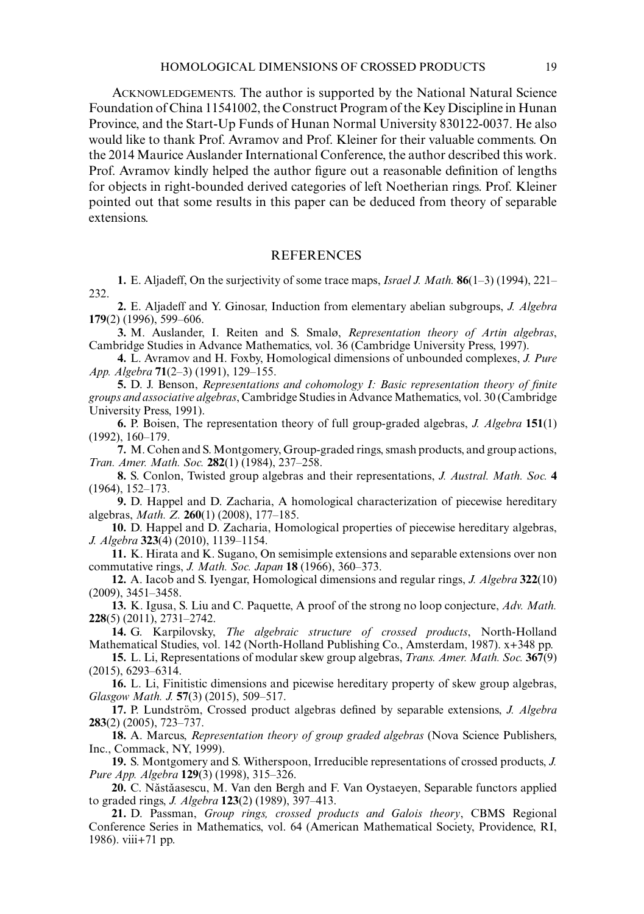ACKNOWLEDGEMENTS. The author is supported by the National Natural Science Foundation of China 11541002, the Construct Program of the Key Discipline in Hunan Province, and the Start-Up Funds of Hunan Normal University 830122-0037. He also would like to thank Prof. Avramov and Prof. Kleiner for their valuable comments. On the 2014 Maurice Auslander International Conference, the author described this work. Prof. Avramov kindly helped the author figure out a reasonable definition of lengths for objects in right-bounded derived categories of left Noetherian rings. Prof. Kleiner pointed out that some results in this paper can be deduced from theory of separable extensions.

## REFERENCES

**1.** E. Aljadeff, On the surjectivity of some trace maps, *Israel J. Math.* **86**(1–3) (1994), 221– 232.

**2.** E. Aljadeff and Y. Ginosar, Induction from elementary abelian subgroups, *J. Algebra* **179**(2) (1996), 599–606.

**3.** M. Auslander, I. Reiten and S. Smalø, *Representation theory of Artin algebras*, Cambridge Studies in Advance Mathematics, vol. 36 (Cambridge University Press, 1997).

**4.** L. Avramov and H. Foxby, Homological dimensions of unbounded complexes, *J. Pure App. Algebra* **71**(2–3) (1991), 129–155.

**5.** D. J. Benson, *Representations and cohomology I: Basic representation theory of finite groups and associative algebras*, Cambridge Studies in Advance Mathematics, vol. 30 (Cambridge University Press, 1991).

**6.** P. Boisen, The representation theory of full group-graded algebras, *J. Algebra* **151**(1) (1992), 160–179.

**7.** M. Cohen and S. Montgomery, Group-graded rings, smash products, and group actions, *Tran. Amer. Math. Soc.* **282**(1) (1984), 237–258.

**8.** S. Conlon, Twisted group algebras and their representations, *J. Austral. Math. Soc.* **4** (1964), 152–173.

**9.** D. Happel and D. Zacharia, A homological characterization of piecewise hereditary algebras, *Math. Z.* **260**(1) (2008), 177–185.

**10.** D. Happel and D. Zacharia, Homological properties of piecewise hereditary algebras, *J. Algebra* **323**(4) (2010), 1139–1154.

**11.** K. Hirata and K. Sugano, On semisimple extensions and separable extensions over non commutative rings, *J. Math. Soc. Japan* **18** (1966), 360–373.

**12.** A. Iacob and S. Iyengar, Homological dimensions and regular rings, *J. Algebra* **322**(10) (2009), 3451–3458.

**13.** K. Igusa, S. Liu and C. Paquette, A proof of the strong no loop conjecture, *Adv. Math.* **228**(5) (2011), 2731–2742.

**14.** G. Karpilovsky, *The algebraic structure of crossed products*, North-Holland Mathematical Studies, vol. 142 (North-Holland Publishing Co., Amsterdam, 1987). x+348 pp.

**15.** L. Li, Representations of modular skew group algebras, *Trans. Amer. Math. Soc.* **367**(9) (2015), 6293–6314.

**16.** L. Li, Finitistic dimensions and picewise hereditary property of skew group algebras, *Glasgow Math. J.* **57**(3) (2015), 509–517.

**17.** P. Lundström, Crossed product algebras defined by separable extensions, *J. Algebra* **283**(2) (2005), 723–737.

**18.** A. Marcus, *Representation theory of group graded algebras* (Nova Science Publishers, Inc., Commack, NY, 1999).

**19.** S. Montgomery and S. Witherspoon, Irreducible representations of crossed products, *J. Pure App. Algebra* **129**(3) (1998), 315–326.

20. C. Năstăasescu, M. Van den Bergh and F. Van Oystaeyen, Separable functors applied to graded rings, *J. Algebra* **123**(2) (1989), 397–413.

**21.** D. Passman, *Group rings, crossed products and Galois theory*, CBMS Regional Conference Series in Mathematics, vol. 64 (American Mathematical Society, Providence, RI, 1986). viii+71 pp.